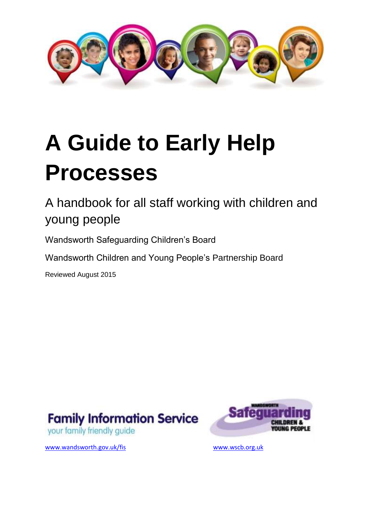

# **A Guide to Early Help Processes**

A handbook for all staff working with children and young people

Wandsworth Safeguarding Children's Board

Wandsworth Children and Young People's Partnership Board

Reviewed August 2015







[www.wandsworth.gov.uk/fis](http://www.wandsworth.gov.uk/fis) [www.wscb.org.uk](http://www.wscb.org.uk/)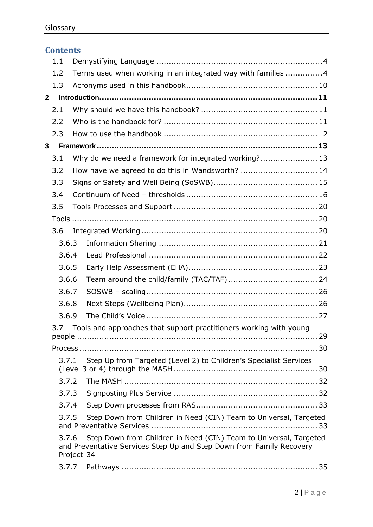|                                                                            | <b>Contents</b> |                                                               |                                                                                                                                           |  |  |  |
|----------------------------------------------------------------------------|-----------------|---------------------------------------------------------------|-------------------------------------------------------------------------------------------------------------------------------------------|--|--|--|
|                                                                            | 1.1             |                                                               |                                                                                                                                           |  |  |  |
|                                                                            | 1.2             | Terms used when working in an integrated way with families  4 |                                                                                                                                           |  |  |  |
|                                                                            | 1.3             |                                                               |                                                                                                                                           |  |  |  |
| $\mathbf{2}$                                                               |                 |                                                               |                                                                                                                                           |  |  |  |
|                                                                            | 2.1             |                                                               |                                                                                                                                           |  |  |  |
|                                                                            | 2.2             |                                                               |                                                                                                                                           |  |  |  |
|                                                                            | 2.3             |                                                               |                                                                                                                                           |  |  |  |
| 3                                                                          |                 |                                                               |                                                                                                                                           |  |  |  |
|                                                                            | 3.1             |                                                               | Why do we need a framework for integrated working? 13                                                                                     |  |  |  |
|                                                                            | 3.2             |                                                               | How have we agreed to do this in Wandsworth?  14                                                                                          |  |  |  |
|                                                                            | 3.3             |                                                               |                                                                                                                                           |  |  |  |
|                                                                            | 3.4             |                                                               |                                                                                                                                           |  |  |  |
|                                                                            | 3.5             |                                                               |                                                                                                                                           |  |  |  |
|                                                                            |                 |                                                               |                                                                                                                                           |  |  |  |
|                                                                            | 3.6             |                                                               |                                                                                                                                           |  |  |  |
|                                                                            | 3.6.3           |                                                               |                                                                                                                                           |  |  |  |
|                                                                            | 3.6.4           |                                                               |                                                                                                                                           |  |  |  |
| 3.6.5                                                                      |                 |                                                               |                                                                                                                                           |  |  |  |
|                                                                            | 3.6.6           |                                                               |                                                                                                                                           |  |  |  |
|                                                                            | 3.6.7           |                                                               |                                                                                                                                           |  |  |  |
|                                                                            | 3.6.8           |                                                               |                                                                                                                                           |  |  |  |
| 3.6.9                                                                      |                 |                                                               |                                                                                                                                           |  |  |  |
| 3.7 Tools and approaches that support practitioners working with young     |                 |                                                               |                                                                                                                                           |  |  |  |
|                                                                            |                 |                                                               |                                                                                                                                           |  |  |  |
| Step Up from Targeted (Level 2) to Children's Specialist Services<br>3.7.1 |                 |                                                               |                                                                                                                                           |  |  |  |
|                                                                            | 3.7.2           |                                                               |                                                                                                                                           |  |  |  |
|                                                                            | 3.7.3           |                                                               |                                                                                                                                           |  |  |  |
|                                                                            | 3.7.4           |                                                               |                                                                                                                                           |  |  |  |
|                                                                            | 3.7.5           |                                                               | Step Down from Children in Need (CIN) Team to Universal, Targeted                                                                         |  |  |  |
|                                                                            | 3.7.6           | Project 34                                                    | Step Down from Children in Need (CIN) Team to Universal, Targeted<br>and Preventative Services Step Up and Step Down from Family Recovery |  |  |  |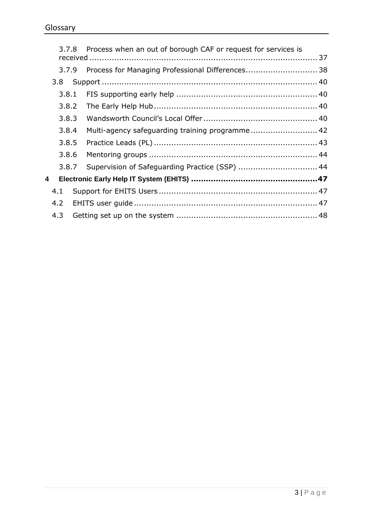| 3.8<br>4.1<br>4.2<br>4.3 | 3.7.8<br>3.7.9<br>3.8.1<br>3.8.2<br>3.8.3<br>3.8.4<br>3.8.5<br>3.8.6<br>3.8.7 | Process when an out of borough CAF or request for services is<br>Process for Managing Professional Differences 38<br>Multi-agency safeguarding training programme 42<br>Supervision of Safeguarding Practice (SSP)  44 |
|--------------------------|-------------------------------------------------------------------------------|------------------------------------------------------------------------------------------------------------------------------------------------------------------------------------------------------------------------|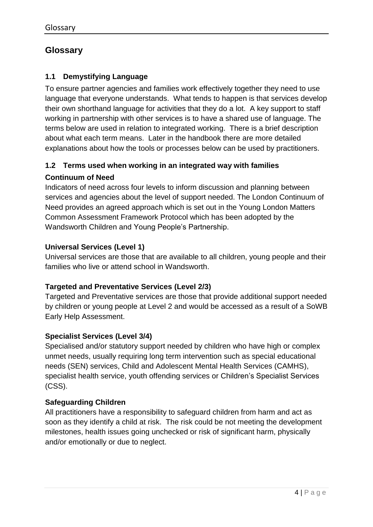# **Glossary**

## <span id="page-3-0"></span>**1.1 Demystifying Language**

To ensure partner agencies and families work effectively together they need to use language that everyone understands.What tends to happen is that services develop their own shorthand language for activities that they do a lot. A key support to staff working in partnership with other services is to have a shared use of language. The terms below are used in relation to integrated working. There is a brief description about what each term means. Later in the handbook there are more detailed explanations about how the tools or processes below can be used by practitioners.

## <span id="page-3-1"></span>**1.2 Terms used when working in an integrated way with families**

## **Continuum of Need**

Indicators of need across four levels to inform discussion and planning between services and agencies about the level of support needed. The London Continuum of Need provides an agreed approach which is set out in the Young London Matters Common Assessment Framework Protocol which has been adopted by the Wandsworth Children and Young People's Partnership.

## **Universal Services (Level 1)**

Universal services are those that are available to all children, young people and their families who live or attend school in Wandsworth.

## **Targeted and Preventative Services (Level 2/3)**

Targeted and Preventative services are those that provide additional support needed by children or young people at Level 2 and would be accessed as a result of a SoWB Early Help Assessment.

#### **Specialist Services (Level 3/4)**

Specialised and/or statutory support needed by children who have high or complex unmet needs, usually requiring long term intervention such as special educational needs (SEN) services, Child and Adolescent Mental Health Services (CAMHS), specialist health service, youth offending services or Children's Specialist Services (CSS).

#### **Safeguarding Children**

All practitioners have a responsibility to safeguard children from harm and act as soon as they identify a child at risk. The risk could be not meeting the development milestones, health issues going unchecked or risk of significant harm, physically and/or emotionally or due to neglect.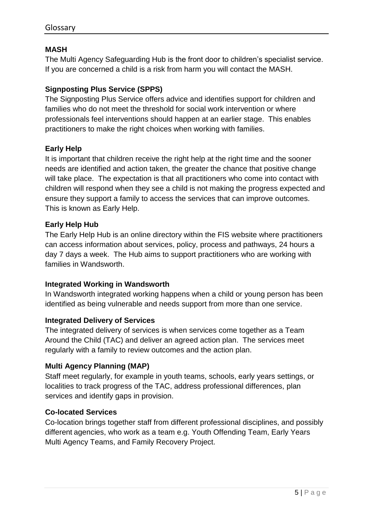## **MASH**

The Multi Agency Safeguarding Hub is the front door to children's specialist service. If you are concerned a child is a risk from harm you will contact the MASH.

## **Signposting Plus Service (SPPS)**

The Signposting Plus Service offers advice and identifies support for children and families who do not meet the threshold for social work intervention or where professionals feel interventions should happen at an earlier stage. This enables practitioners to make the right choices when working with families.

#### **Early Help**

It is important that children receive the right help at the right time and the sooner needs are identified and action taken, the greater the chance that positive change will take place. The expectation is that all practitioners who come into contact with children will respond when they see a child is not making the progress expected and ensure they support a family to access the services that can improve outcomes. This is known as Early Help.

#### **Early Help Hub**

The Early Help Hub is an online directory within the FIS website where practitioners can access information about services, policy, process and pathways, 24 hours a day 7 days a week. The Hub aims to support practitioners who are working with families in Wandsworth.

#### **Integrated Working in Wandsworth**

In Wandsworth integrated working happens when a child or young person has been identified as being vulnerable and needs support from more than one service.

#### **Integrated Delivery of Services**

The integrated delivery of services is when services come together as a Team Around the Child (TAC) and deliver an agreed action plan. The services meet regularly with a family to review outcomes and the action plan.

#### **Multi Agency Planning (MAP)**

Staff meet regularly, for example in youth teams, schools, early years settings, or localities to track progress of the TAC, address professional differences, plan services and identify gaps in provision.

#### **Co-located Services**

Co-location brings together staff from different professional disciplines, and possibly different agencies, who work as a team e.g. Youth Offending Team, Early Years Multi Agency Teams, and Family Recovery Project.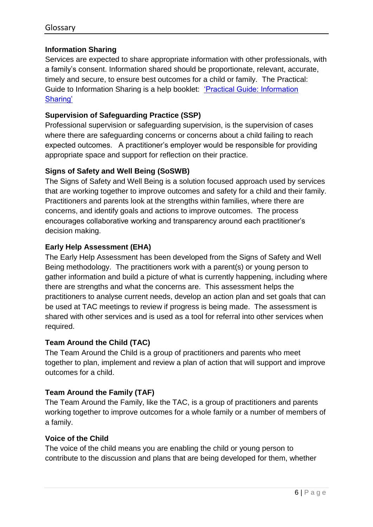## **Information Sharing**

Services are expected to share appropriate information with other professionals, with a family's consent. Information shared should be proportionate, relevant, accurate, timely and secure, to ensure best outcomes for a child or family. The Practical: Guide to Information Sharing is a help booklet: ['Practical Guide: Information](http://search3.openobjects.com/kb5/wandsworth/fsd/advice.page?id=SaxAeRVZQTM&familychannel=5600)  [Sharing'](http://search3.openobjects.com/kb5/wandsworth/fsd/advice.page?id=SaxAeRVZQTM&familychannel=5600)

## **Supervision of Safeguarding Practice (SSP)**

Professional supervision or safeguarding supervision, is the supervision of cases where there are safeguarding concerns or concerns about a child failing to reach expected outcomes. A practitioner's employer would be responsible for providing appropriate space and support for reflection on their practice.

## **Signs of Safety and Well Being (SoSWB)**

The Signs of Safety and Well Being is a solution focused approach used by services that are working together to improve outcomes and safety for a child and their family. Practitioners and parents look at the strengths within families, where there are concerns, and identify goals and actions to improve outcomes. The process encourages collaborative working and transparency around each practitioner's decision making.

#### **Early Help Assessment (EHA)**

The Early Help Assessment has been developed from the Signs of Safety and Well Being methodology. The practitioners work with a parent(s) or young person to gather information and build a picture of what is currently happening, including where there are strengths and what the concerns are. This assessment helps the practitioners to analyse current needs, develop an action plan and set goals that can be used at TAC meetings to review if progress is being made. The assessment is shared with other services and is used as a tool for referral into other services when required.

#### **Team Around the Child (TAC)**

The Team Around the Child is a group of practitioners and parents who meet together to plan, implement and review a plan of action that will support and improve outcomes for a child.

## **Team Around the Family (TAF)**

The Team Around the Family, like the TAC, is a group of practitioners and parents working together to improve outcomes for a whole family or a number of members of a family.

#### **Voice of the Child**

The voice of the child means you are enabling the child or young person to contribute to the discussion and plans that are being developed for them, whether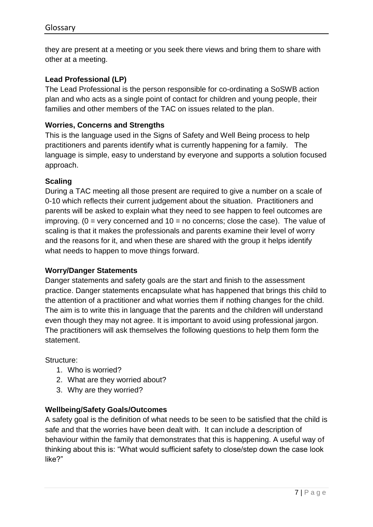they are present at a meeting or you seek there views and bring them to share with other at a meeting.

## **Lead Professional (LP)**

The Lead Professional is the person responsible for co-ordinating a SoSWB action plan and who acts as a single point of contact for children and young people, their families and other members of the TAC on issues related to the plan.

#### **Worries, Concerns and Strengths**

This is the language used in the Signs of Safety and Well Being process to help practitioners and parents identify what is currently happening for a family. The language is simple, easy to understand by everyone and supports a solution focused approach.

#### **Scaling**

During a TAC meeting all those present are required to give a number on a scale of 0-10 which reflects their current judgement about the situation. Practitioners and parents will be asked to explain what they need to see happen to feel outcomes are improving. ( $0 = \text{very concerned}$  and  $10 = \text{no concerns}$ ; close the case). The value of scaling is that it makes the professionals and parents examine their level of worry and the reasons for it, and when these are shared with the group it helps identify what needs to happen to move things forward.

#### **Worry/Danger Statements**

Danger statements and safety goals are the start and finish to the assessment practice. Danger statements encapsulate what has happened that brings this child to the attention of a practitioner and what worries them if nothing changes for the child. The aim is to write this in language that the parents and the children will understand even though they may not agree. It is important to avoid using professional jargon. The practitioners will ask themselves the following questions to help them form the statement.

Structure:

- 1. Who is worried?
- 2. What are they worried about?
- 3. Why are they worried?

#### **Wellbeing/Safety Goals/Outcomes**

A safety goal is the definition of what needs to be seen to be satisfied that the child is safe and that the worries have been dealt with. It can include a description of behaviour within the family that demonstrates that this is happening. A useful way of thinking about this is: "What would sufficient safety to close/step down the case look like?"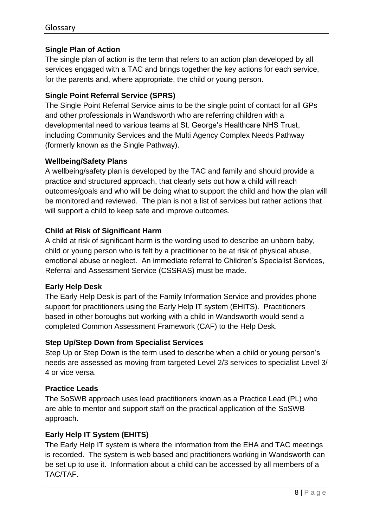## **Single Plan of Action**

The single plan of action is the term that refers to an action plan developed by all services engaged with a TAC and brings together the key actions for each service, for the parents and, where appropriate, the child or young person.

## **Single Point Referral Service (SPRS)**

The Single Point Referral Service aims to be the single point of contact for all GPs and other professionals in Wandsworth who are referring children with a developmental need to various teams at St. George's Healthcare NHS Trust, including Community Services and the Multi Agency Complex Needs Pathway (formerly known as the Single Pathway).

#### **Wellbeing/Safety Plans**

A wellbeing/safety plan is developed by the TAC and family and should provide a practice and structured approach, that clearly sets out how a child will reach outcomes/goals and who will be doing what to support the child and how the plan will be monitored and reviewed. The plan is not a list of services but rather actions that will support a child to keep safe and improve outcomes.

## **Child at Risk of Significant Harm**

A child at risk of significant harm is the wording used to describe an unborn baby, child or young person who is felt by a practitioner to be at risk of physical abuse, emotional abuse or neglect. An immediate referral to Children's Specialist Services, Referral and Assessment Service (CSSRAS) must be made.

#### **Early Help Desk**

The Early Help Desk is part of the Family Information Service and provides phone support for practitioners using the Early Help IT system (EHITS). Practitioners based in other boroughs but working with a child in Wandsworth would send a completed Common Assessment Framework (CAF) to the Help Desk.

#### **Step Up/Step Down from Specialist Services**

Step Up or Step Down is the term used to describe when a child or young person's needs are assessed as moving from targeted Level 2/3 services to specialist Level 3/ 4 or vice versa.

#### **Practice Leads**

The SoSWB approach uses lead practitioners known as a Practice Lead (PL) who are able to mentor and support staff on the practical application of the SoSWB approach.

## **Early Help IT System (EHITS)**

The Early Help IT system is where the information from the EHA and TAC meetings is recorded. The system is web based and practitioners working in Wandsworth can be set up to use it. Information about a child can be accessed by all members of a TAC/TAF.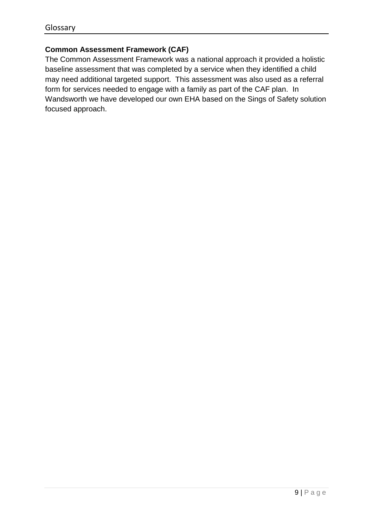## **Common Assessment Framework (CAF)**

The Common Assessment Framework was a national approach it provided a holistic baseline assessment that was completed by a service when they identified a child may need additional targeted support. This assessment was also used as a referral form for services needed to engage with a family as part of the CAF plan. In Wandsworth we have developed our own EHA based on the Sings of Safety solution focused approach.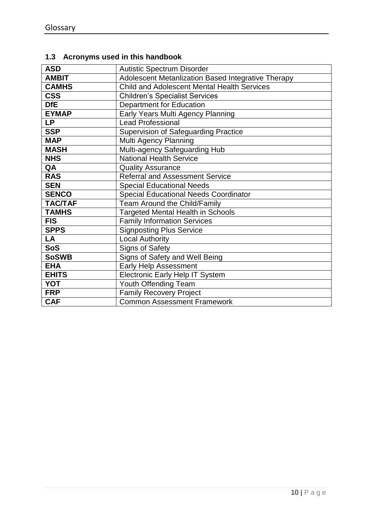# <span id="page-9-0"></span>**1.3 Acronyms used in this handbook**

| <b>ASD</b>     | <b>Autistic Spectrum Disorder</b>                  |
|----------------|----------------------------------------------------|
| <b>AMBIT</b>   | Adolescent Metanlization Based Integrative Therapy |
| <b>CAMHS</b>   | <b>Child and Adolescent Mental Health Services</b> |
| <b>CSS</b>     | <b>Children's Specialist Services</b>              |
| <b>DfE</b>     | Department for Education                           |
| <b>EYMAP</b>   | Early Years Multi Agency Planning                  |
| <b>LP</b>      | <b>Lead Professional</b>                           |
| <b>SSP</b>     | <b>Supervision of Safeguarding Practice</b>        |
| <b>MAP</b>     | Multi Agency Planning                              |
| <b>MASH</b>    | Multi-agency Safeguarding Hub                      |
| <b>NHS</b>     | <b>National Health Service</b>                     |
| QA             | <b>Quality Assurance</b>                           |
| <b>RAS</b>     | <b>Referral and Assessment Service</b>             |
| <b>SEN</b>     | <b>Special Educational Needs</b>                   |
| <b>SENCO</b>   | <b>Special Educational Needs Coordinator</b>       |
| <b>TAC/TAF</b> | Team Around the Child/Family                       |
| <b>TAMHS</b>   | <b>Targeted Mental Health in Schools</b>           |
| <b>FIS</b>     | <b>Family Information Services</b>                 |
| <b>SPPS</b>    | <b>Signposting Plus Service</b>                    |
| LA             | <b>Local Authority</b>                             |
| <b>SoS</b>     | <b>Signs of Safety</b>                             |
| <b>SoSWB</b>   | Signs of Safety and Well Being                     |
| <b>EHA</b>     | <b>Early Help Assessment</b>                       |
| <b>EHITS</b>   | <b>Electronic Early Help IT System</b>             |
| <b>YOT</b>     | Youth Offending Team                               |
| <b>FRP</b>     | <b>Family Recovery Project</b>                     |
| <b>CAF</b>     | <b>Common Assessment Framework</b>                 |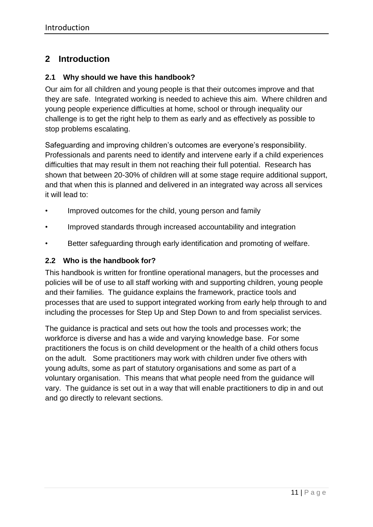# <span id="page-10-0"></span>**2 Introduction**

#### <span id="page-10-1"></span>**2.1 Why should we have this handbook?**

Our aim for all children and young people is that their outcomes improve and that they are safe. Integrated working is needed to achieve this aim. Where children and young people experience difficulties at home, school or through inequality our challenge is to get the right help to them as early and as effectively as possible to stop problems escalating.

Safeguarding and improving children's outcomes are everyone's responsibility. Professionals and parents need to identify and intervene early if a child experiences difficulties that may result in them not reaching their full potential. Research has shown that between 20-30% of children will at some stage require additional support, and that when this is planned and delivered in an integrated way across all services it will lead to:

- Improved outcomes for the child, young person and family
- Improved standards through increased accountability and integration
- Better safeguarding through early identification and promoting of welfare.

#### <span id="page-10-2"></span>**2.2 Who is the handbook for?**

This handbook is written for frontline operational managers, but the processes and policies will be of use to all staff working with and supporting children, young people and their families. The guidance explains the framework, practice tools and processes that are used to support integrated working from early help through to and including the processes for Step Up and Step Down to and from specialist services.

The guidance is practical and sets out how the tools and processes work; the workforce is diverse and has a wide and varying knowledge base. For some practitioners the focus is on child development or the health of a child others focus on the adult. Some practitioners may work with children under five others with young adults, some as part of statutory organisations and some as part of a voluntary organisation. This means that what people need from the guidance will vary. The guidance is set out in a way that will enable practitioners to dip in and out and go directly to relevant sections.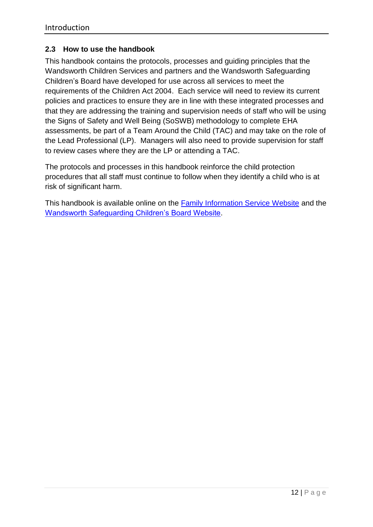#### <span id="page-11-0"></span>**2.3 How to use the handbook**

This handbook contains the protocols, processes and guiding principles that the Wandsworth Children Services and partners and the Wandsworth Safeguarding Children's Board have developed for use across all services to meet the requirements of the Children Act 2004. Each service will need to review its current policies and practices to ensure they are in line with these integrated processes and that they are addressing the training and supervision needs of staff who will be using the Signs of Safety and Well Being (SoSWB) methodology to complete EHA assessments, be part of a Team Around the Child (TAC) and may take on the role of the Lead Professional (LP). Managers will also need to provide supervision for staff to review cases where they are the LP or attending a TAC.

The protocols and processes in this handbook reinforce the child protection procedures that all staff must continue to follow when they identify a child who is at risk of significant harm.

This handbook is available online on the [Family Information Service Website](http://search3.openobjects.com/kb5/wandsworth/fsd/advice.page?id=SaxAeRVZQTM&familychannel=5600) and the [Wandsworth Safeguarding Children's Board Website.](http://www.wandsworth.gov.uk/wscb/)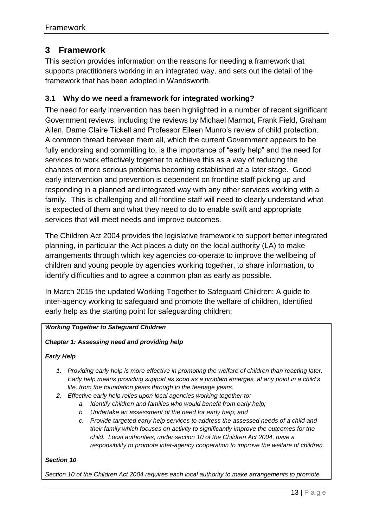## <span id="page-12-0"></span>**3 Framework**

This section provides information on the reasons for needing a framework that supports practitioners working in an integrated way, and sets out the detail of the framework that has been adopted in Wandsworth.

#### <span id="page-12-1"></span>**3.1 Why do we need a framework for integrated working?**

The need for early intervention has been highlighted in a number of recent significant Government reviews, including the reviews by Michael Marmot, Frank Field, Graham Allen, Dame Claire Tickell and Professor Eileen Munro's review of child protection. A common thread between them all, which the current Government appears to be fully endorsing and committing to, is the importance of "early help" and the need for services to work effectively together to achieve this as a way of reducing the chances of more serious problems becoming established at a later stage. Good early intervention and prevention is dependent on frontline staff picking up and responding in a planned and integrated way with any other services working with a family. This is challenging and all frontline staff will need to clearly understand what is expected of them and what they need to do to enable swift and appropriate services that will meet needs and improve outcomes.

The Children Act 2004 provides the legislative framework to support better integrated planning, in particular the Act places a duty on the local authority (LA) to make arrangements through which key agencies co-operate to improve the wellbeing of children and young people by agencies working together, to share information, to identify difficulties and to agree a common plan as early as possible.

In March 2015 the updated Working Together to Safeguard Children: A guide to inter-agency working to safeguard and promote the welfare of children, Identified early help as the starting point for safeguarding children:

#### *Working Together to Safeguard Children*

#### *Chapter 1: Assessing need and providing help*

#### *Early Help*

- *1. Providing early help is more effective in promoting the welfare of children than reacting later. Early help means providing support as soon as a problem emerges, at any point in a child's life, from the foundation years through to the teenage years.*
- *2. Effective early help relies upon local agencies working together to:*
	- *a. Identify children and families who would benefit from early help;*
	- *b. Undertake an assessment of the need for early help; and*
	- *c. Provide targeted early help services to address the assessed needs of a child and their family which focuses on activity to significantly improve the outcomes for the child. Local authorities, under section 10 of the Children Act 2004, have a responsibility to promote inter-agency cooperation to improve the welfare of children.*

#### *Section 10*

*Section 10 of the Children Act 2004 requires each local authority to make arrangements to promote*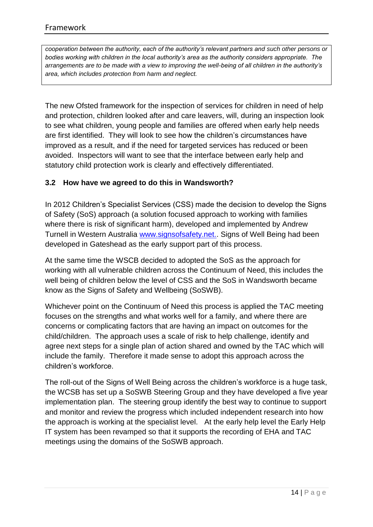*cooperation between the authority, each of the authority's relevant partners and such other persons or bodies working with children in the local authority's area as the authority considers appropriate. The arrangements are to be made with a view to improving the well-being of all children in the authority's area, which includes protection from harm and neglect.* 

The new Ofsted framework for the inspection of services for children in need of help and protection, children looked after and care leavers, will, during an inspection look to see what children, young people and families are offered when early help needs are first identified. They will look to see how the children's circumstances have improved as a result, and if the need for targeted services has reduced or been avoided. Inspectors will want to see that the interface between early help and statutory child protection work is clearly and effectively differentiated.

#### <span id="page-13-0"></span>**3.2 How have we agreed to do this in Wandsworth?**

In 2012 Children's Specialist Services (CSS) made the decision to develop the Signs of Safety (SoS) approach (a solution focused approach to working with families where there is risk of significant harm), developed and implemented by Andrew Turnell in Western Australia [www.signsofsafety.net..](http://www.signsofsafety.net/) Signs of Well Being had been developed in Gateshead as the early support part of this process.

At the same time the WSCB decided to adopted the SoS as the approach for working with all vulnerable children across the Continuum of Need, this includes the well being of children below the level of CSS and the SoS in Wandsworth became know as the Signs of Safety and Wellbeing (SoSWB).

Whichever point on the Continuum of Need this process is applied the TAC meeting focuses on the strengths and what works well for a family, and where there are concerns or complicating factors that are having an impact on outcomes for the child/children. The approach uses a scale of risk to help challenge, identify and agree next steps for a single plan of action shared and owned by the TAC which will include the family. Therefore it made sense to adopt this approach across the children's workforce.

The roll-out of the Signs of Well Being across the children's workforce is a huge task, the WCSB has set up a SoSWB Steering Group and they have developed a five year implementation plan. The steering group identify the best way to continue to support and monitor and review the progress which included independent research into how the approach is working at the specialist level. At the early help level the Early Help IT system has been revamped so that it supports the recording of EHA and TAC meetings using the domains of the SoSWB approach.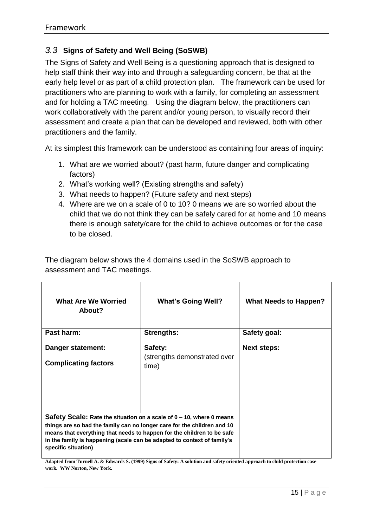## <span id="page-14-0"></span>*3.3* **Signs of Safety and Well Being (SoSWB)**

The Signs of Safety and Well Being is a questioning approach that is designed to help staff think their way into and through a safeguarding concern, be that at the early help level or as part of a child protection plan. The framework can be used for practitioners who are planning to work with a family, for completing an assessment and for holding a TAC meeting. Using the diagram below, the practitioners can work collaboratively with the parent and/or young person, to visually record their assessment and create a plan that can be developed and reviewed, both with other practitioners and the family.

At its simplest this framework can be understood as containing four areas of inquiry:

- 1. What are we worried about? (past harm, future danger and complicating factors)
- 2. What's working well? (Existing strengths and safety)
- 3. What needs to happen? (Future safety and next steps)
- 4. Where are we on a scale of 0 to 10? 0 means we are so worried about the child that we do not think they can be safely cared for at home and 10 means there is enough safety/care for the child to achieve outcomes or for the case to be closed.

The diagram below shows the 4 domains used in the SoSWB approach to assessment and TAC meetings.

| <b>What Are We Worried</b><br>About?                                                                                                                                                                                                                                                                                        | <b>What's Going Well?</b>                        | <b>What Needs to Happen?</b> |
|-----------------------------------------------------------------------------------------------------------------------------------------------------------------------------------------------------------------------------------------------------------------------------------------------------------------------------|--------------------------------------------------|------------------------------|
| Past harm:                                                                                                                                                                                                                                                                                                                  | <b>Strengths:</b>                                | Safety goal:                 |
| Danger statement:<br><b>Complicating factors</b>                                                                                                                                                                                                                                                                            | Safety:<br>(strengths demonstrated over<br>time) | <b>Next steps:</b>           |
| Safety Scale: Rate the situation on a scale of 0 – 10, where 0 means<br>things are so bad the family can no longer care for the children and 10<br>means that everything that needs to happen for the children to be safe<br>in the family is happening (scale can be adapted to context of family's<br>specific situation) |                                                  |                              |

**Adapted from Turnell A. & Edwards S. (1999) Signs of Safety: A solution and safety oriented approach to child protection case work. WW Norton, New York.**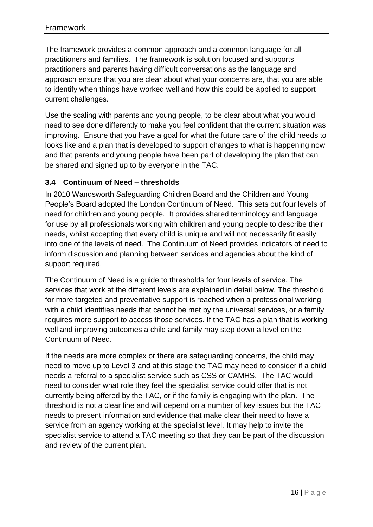The framework provides a common approach and a common language for all practitioners and families. The framework is solution focused and supports practitioners and parents having difficult conversations as the language and approach ensure that you are clear about what your concerns are, that you are able to identify when things have worked well and how this could be applied to support current challenges.

Use the scaling with parents and young people, to be clear about what you would need to see done differently to make you feel confident that the current situation was improving. Ensure that you have a goal for what the future care of the child needs to looks like and a plan that is developed to support changes to what is happening now and that parents and young people have been part of developing the plan that can be shared and signed up to by everyone in the TAC.

#### <span id="page-15-0"></span>**3.4 Continuum of Need – thresholds**

In 2010 Wandsworth Safeguarding Children Board and the Children and Young People's Board adopted the London Continuum of Need. This sets out four levels of need for children and young people. It provides shared terminology and language for use by all professionals working with children and young people to describe their needs, whilst accepting that every child is unique and will not necessarily fit easily into one of the levels of need. The Continuum of Need provides indicators of need to inform discussion and planning between services and agencies about the kind of support required.

The Continuum of Need is a guide to thresholds for four levels of service. The services that work at the different levels are explained in detail below. The threshold for more targeted and preventative support is reached when a professional working with a child identifies needs that cannot be met by the universal services, or a family requires more support to access those services. If the TAC has a plan that is working well and improving outcomes a child and family may step down a level on the Continuum of Need.

If the needs are more complex or there are safeguarding concerns, the child may need to move up to Level 3 and at this stage the TAC may need to consider if a child needs a referral to a specialist service such as CSS or CAMHS. The TAC would need to consider what role they feel the specialist service could offer that is not currently being offered by the TAC, or if the family is engaging with the plan. The threshold is not a clear line and will depend on a number of key issues but the TAC needs to present information and evidence that make clear their need to have a service from an agency working at the specialist level. It may help to invite the specialist service to attend a TAC meeting so that they can be part of the discussion and review of the current plan.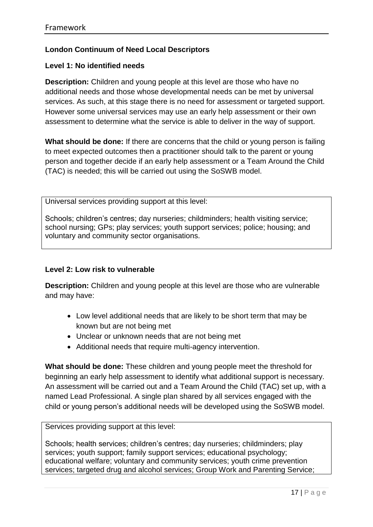## **London Continuum of Need Local Descriptors**

#### **Level 1: No identified needs**

**Description:** Children and young people at this level are those who have no additional needs and those whose developmental needs can be met by universal services. As such, at this stage there is no need for assessment or targeted support. However some universal services may use an early help assessment or their own assessment to determine what the service is able to deliver in the way of support.

**What should be done:** If there are concerns that the child or young person is failing to meet expected outcomes then a practitioner should talk to the parent or young person and together decide if an early help assessment or a Team Around the Child (TAC) is needed; this will be carried out using the SoSWB model.

Universal services providing support at this level:

Schools; children's centres; day nurseries; childminders; health visiting service; school nursing; GPs; play services; youth support services; police; housing; and voluntary and community sector organisations.

#### **Level 2: Low risk to vulnerable**

**Description:** Children and young people at this level are those who are vulnerable and may have:

- Low level additional needs that are likely to be short term that may be known but are not being met
- Unclear or unknown needs that are not being met
- Additional needs that require multi-agency intervention.

**What should be done:** These children and young people meet the threshold for beginning an early help assessment to identify what additional support is necessary. An assessment will be carried out and a Team Around the Child (TAC) set up, with a named Lead Professional. A single plan shared by all services engaged with the child or young person's additional needs will be developed using the SoSWB model.

Services providing support at this level:

Schools; health services; children's centres; day nurseries; childminders; play services; youth support; family support services; educational psychology; educational welfare; voluntary and community services; youth crime prevention services; targeted drug and alcohol services; Group Work and Parenting Service;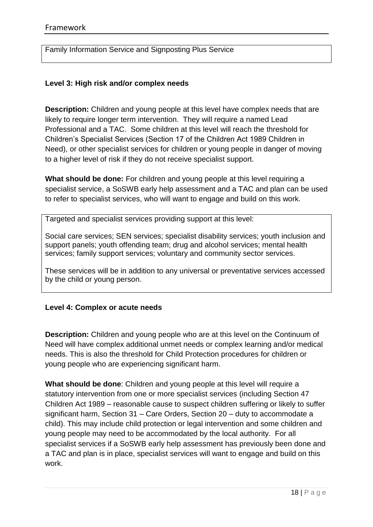Family Information Service and Signposting Plus Service

#### **Level 3: High risk and/or complex needs**

**Description:** Children and young people at this level have complex needs that are likely to require longer term intervention. They will require a named Lead Professional and a TAC. Some children at this level will reach the threshold for Children's Specialist Services (Section 17 of the Children Act 1989 Children in Need), or other specialist services for children or young people in danger of moving to a higher level of risk if they do not receive specialist support.

**What should be done:** For children and young people at this level requiring a specialist service, a SoSWB early help assessment and a TAC and plan can be used to refer to specialist services, who will want to engage and build on this work.

Targeted and specialist services providing support at this level:

Social care services; SEN services; specialist disability services; youth inclusion and support panels; youth offending team; drug and alcohol services; mental health services; family support services; voluntary and community sector services.

These services will be in addition to any universal or preventative services accessed by the child or young person.

#### **Level 4: Complex or acute needs**

**Description:** Children and young people who are at this level on the Continuum of Need will have complex additional unmet needs or complex learning and/or medical needs. This is also the threshold for Child Protection procedures for children or young people who are experiencing significant harm.

**What should be done**: Children and young people at this level will require a statutory intervention from one or more specialist services (including Section 47 Children Act 1989 – reasonable cause to suspect children suffering or likely to suffer significant harm, Section 31 – Care Orders, Section 20 – duty to accommodate a child). This may include child protection or legal intervention and some children and young people may need to be accommodated by the local authority. For all specialist services if a SoSWB early help assessment has previously been done and a TAC and plan is in place, specialist services will want to engage and build on this work.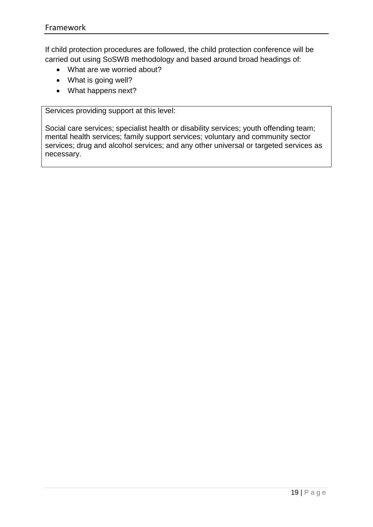If child protection procedures are followed, the child protection conference will be carried out using SoSWB methodology and based around broad headings of:

- What are we worried about?
- What is going well?
- What happens next?

Services providing support at this level:

Social care services; specialist health or disability services; youth offending team; mental health services; family support services; voluntary and community sector services; drug and alcohol services; and any other universal or targeted services as necessary.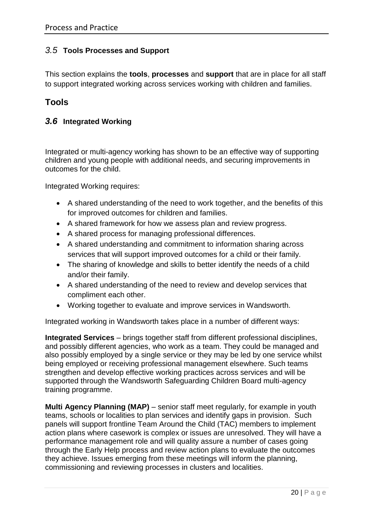## <span id="page-19-0"></span>*3.5* **Tools Processes and Support**

This section explains the **tools**, **processes** and **support** that are in place for all staff to support integrated working across services working with children and families.

## <span id="page-19-1"></span>**Tools**

#### <span id="page-19-2"></span>*3.6* **Integrated Working**

Integrated or multi-agency working has shown to be an effective way of supporting children and young people with additional needs, and securing improvements in outcomes for the child.

Integrated Working requires:

- A shared understanding of the need to work together, and the benefits of this for improved outcomes for children and families.
- A shared framework for how we assess plan and review progress.
- A shared process for managing professional differences.
- A shared understanding and commitment to information sharing across services that will support improved outcomes for a child or their family.
- The sharing of knowledge and skills to better identify the needs of a child and/or their family.
- A shared understanding of the need to review and develop services that compliment each other.
- Working together to evaluate and improve services in Wandsworth.

Integrated working in Wandsworth takes place in a number of different ways:

**Integrated Services** – brings together staff from different professional disciplines, and possibly different agencies, who work as a team. They could be managed and also possibly employed by a single service or they may be led by one service whilst being employed or receiving professional management elsewhere. Such teams strengthen and develop effective working practices across services and will be supported through the Wandsworth Safeguarding Children Board multi-agency training programme.

**Multi Agency Planning (MAP)** – senior staff meet regularly, for example in youth teams, schools or localities to plan services and identify gaps in provision. Such panels will support frontline Team Around the Child (TAC) members to implement action plans where casework is complex or issues are unresolved. They will have a performance management role and will quality assure a number of cases going through the Early Help process and review action plans to evaluate the outcomes they achieve. Issues emerging from these meetings will inform the planning, commissioning and reviewing processes in clusters and localities.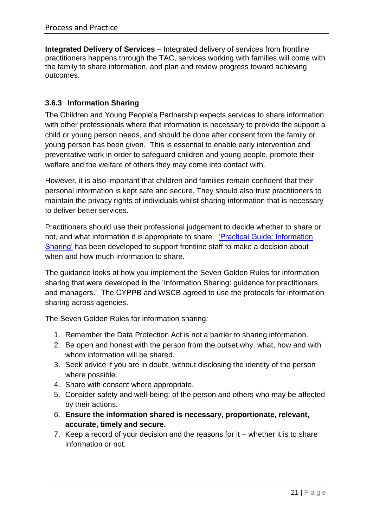**Integrated Delivery of Services** – Integrated delivery of services from frontline practitioners happens through the TAC, services working with families will come with the family to share information, and plan and review progress toward achieving outcomes.

## <span id="page-20-0"></span>**3.6.3 Information Sharing**

The Children and Young People's Partnership expects services to share information with other professionals where that information is necessary to provide the support a child or young person needs, and should be done after consent from the family or young person has been given. This is essential to enable early intervention and preventative work in order to safeguard children and young people, promote their welfare and the welfare of others they may come into contact with.

However, it is also important that children and families remain confident that their personal information is kept safe and secure. They should also trust practitioners to maintain the privacy rights of individuals whilst sharing information that is necessary to deliver better services.

Practitioners should use their professional judgement to decide whether to share or not, and what information it is appropriate to share. ['Practical Guide: Information](http://search3.openobjects.com/kb5/wandsworth/fsd/advice.page?id=SaxAeRVZQTM&familychannel=5600)  [Sharing'](http://search3.openobjects.com/kb5/wandsworth/fsd/advice.page?id=SaxAeRVZQTM&familychannel=5600) has been developed to support frontline staff to make a decision about when and how much information to share.

The guidance looks at how you implement the Seven Golden Rules for information sharing that were developed in the 'Information Sharing: guidance for practitioners and managers.' The CYPPB and WSCB agreed to use the protocols for information sharing across agencies.

The Seven Golden Rules for information sharing:

- 1. Remember the Data Protection Act is not a barrier to sharing information.
- 2. Be open and honest with the person from the outset why, what, how and with whom information will be shared.
- 3. Seek advice if you are in doubt, without disclosing the identity of the person where possible.
- 4. Share with consent where appropriate.
- 5. Consider safety and well-being: of the person and others who may be affected by their actions.
- 6. **Ensure the information shared is necessary, proportionate, relevant, accurate, timely and secure.**
- 7. Keep a record of your decision and the reasons for it whether it is to share information or not.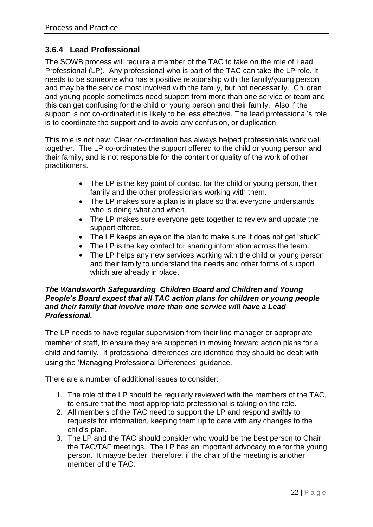## <span id="page-21-0"></span>**3.6.4 Lead Professional**

The SOWB process will require a member of the TAC to take on the role of Lead Professional (LP). Any professional who is part of the TAC can take the LP role. It needs to be someone who has a positive relationship with the family/young person and may be the service most involved with the family, but not necessarily. Children and young people sometimes need support from more than one service or team and this can get confusing for the child or young person and their family. Also if the support is not co-ordinated it is likely to be less effective. The lead professional's role is to coordinate the support and to avoid any confusion, or duplication.

This role is not new. Clear co-ordination has always helped professionals work well together. The LP co-ordinates the support offered to the child or young person and their family, and is not responsible for the content or quality of the work of other practitioners.

- The LP is the key point of contact for the child or young person, their family and the other professionals working with them.
- The LP makes sure a plan is in place so that everyone understands who is doing what and when.
- The LP makes sure everyone gets together to review and update the support offered.
- The LP keeps an eye on the plan to make sure it does not get "stuck".
- The LP is the key contact for sharing information across the team.
- The LP helps any new services working with the child or young person and their family to understand the needs and other forms of support which are already in place.

#### *The Wandsworth Safeguarding Children Board and Children and Young People's Board expect that all TAC action plans for children or young people and their family that involve more than one service will have a Lead Professional.*

The LP needs to have regular supervision from their line manager or appropriate member of staff, to ensure they are supported in moving forward action plans for a child and family. If professional differences are identified they should be dealt with using the 'Managing Professional Differences' guidance.

There are a number of additional issues to consider:

- 1. The role of the LP should be regularly reviewed with the members of the TAC, to ensure that the most appropriate professional is taking on the role.
- 2. All members of the TAC need to support the LP and respond swiftly to requests for information, keeping them up to date with any changes to the child's plan.
- 3. The LP and the TAC should consider who would be the best person to Chair the TAC/TAF meetings. The LP has an important advocacy role for the young person. It maybe better, therefore, if the chair of the meeting is another member of the TAC.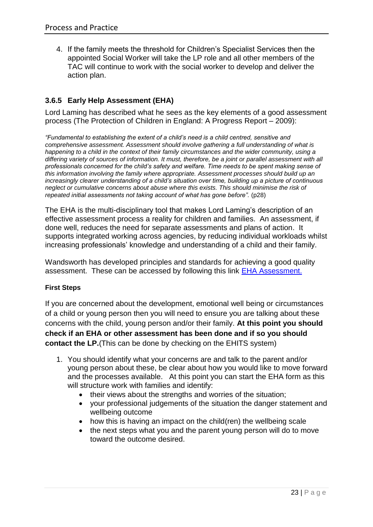4. If the family meets the threshold for Children's Specialist Services then the appointed Social Worker will take the LP role and all other members of the TAC will continue to work with the social worker to develop and deliver the action plan.

## <span id="page-22-0"></span>**3.6.5 Early Help Assessment (EHA)**

Lord Laming has described what he sees as the key elements of a good assessment process (The Protection of Children in England: A Progress Report – 2009):

*"Fundamental to establishing the extent of a child's need is a child centred, sensitive and comprehensive assessment. Assessment should involve gathering a full understanding of what is happening to a child in the context of their family circumstances and the wider community, using a differing variety of sources of information. It must, therefore, be a joint or parallel assessment with all professionals concerned for the child's safety and welfare. Time needs to be spent making sense of this information involving the family where appropriate. Assessment processes should build up an increasingly clearer understanding of a child's situation over time, building up a picture of continuous neglect or cumulative concerns about abuse where this exists. This should minimise the risk of repeated initial assessments not taking account of what has gone before".* (p28)

The EHA is the multi-disciplinary tool that makes Lord Laming's description of an effective assessment process a reality for children and families. An assessment, if done well, reduces the need for separate assessments and plans of action. It supports integrated working across agencies, by reducing individual workloads whilst increasing professionals' knowledge and understanding of a child and their family.

Wandsworth has developed principles and standards for achieving a good quality assessment. These can be accessed by following this link [EHA Assessment.](http://search3.openobjects.com/kb5/wandsworth/fsd/advice.page?id=7Bni79c0SXI&familychannel=5600)

#### **First Steps**

If you are concerned about the development, emotional well being or circumstances of a child or young person then you will need to ensure you are talking about these concerns with the child, young person and/or their family. **At this point you should check if an EHA or other assessment has been done and if so you should contact the LP.**(This can be done by checking on the EHITS system)

- 1. You should identify what your concerns are and talk to the parent and/or young person about these, be clear about how you would like to move forward and the processes available. At this point you can start the EHA form as this will structure work with families and identify:
	- their views about the strengths and worries of the situation;
	- your professional judgements of the situation the danger statement and wellbeing outcome
	- how this is having an impact on the child(ren) the wellbeing scale
	- the next steps what you and the parent young person will do to move toward the outcome desired.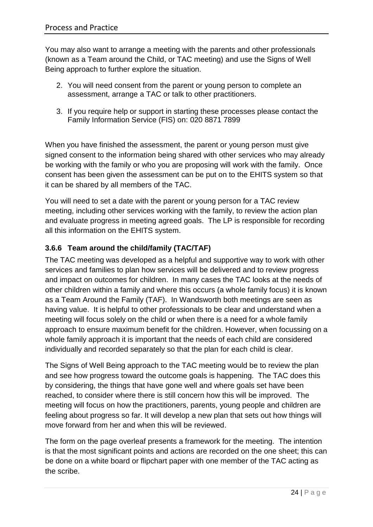You may also want to arrange a meeting with the parents and other professionals (known as a Team around the Child, or TAC meeting) and use the Signs of Well Being approach to further explore the situation.

- 2. You will need consent from the parent or young person to complete an assessment, arrange a TAC or talk to other practitioners.
- 3. If you require help or support in starting these processes please contact the Family Information Service (FIS) on: 020 8871 7899

When you have finished the assessment, the parent or young person must give signed consent to the information being shared with other services who may already be working with the family or who you are proposing will work with the family. Once consent has been given the assessment can be put on to the EHITS system so that it can be shared by all members of the TAC.

You will need to set a date with the parent or young person for a TAC review meeting, including other services working with the family, to review the action plan and evaluate progress in meeting agreed goals. The LP is responsible for recording all this information on the EHITS system.

## <span id="page-23-0"></span>**3.6.6 Team around the child/family (TAC/TAF)**

The TAC meeting was developed as a helpful and supportive way to work with other services and families to plan how services will be delivered and to review progress and impact on outcomes for children. In many cases the TAC looks at the needs of other children within a family and where this occurs (a whole family focus) it is known as a Team Around the Family (TAF). In Wandsworth both meetings are seen as having value. It is helpful to other professionals to be clear and understand when a meeting will focus solely on the child or when there is a need for a whole family approach to ensure maximum benefit for the children. However, when focussing on a whole family approach it is important that the needs of each child are considered individually and recorded separately so that the plan for each child is clear.

The Signs of Well Being approach to the TAC meeting would be to review the plan and see how progress toward the outcome goals is happening. The TAC does this by considering, the things that have gone well and where goals set have been reached, to consider where there is still concern how this will be improved. The meeting will focus on how the practitioners, parents, young people and children are feeling about progress so far. It will develop a new plan that sets out how things will move forward from her and when this will be reviewed.

The form on the page overleaf presents a framework for the meeting. The intention is that the most significant points and actions are recorded on the one sheet; this can be done on a white board or flipchart paper with one member of the TAC acting as the scribe.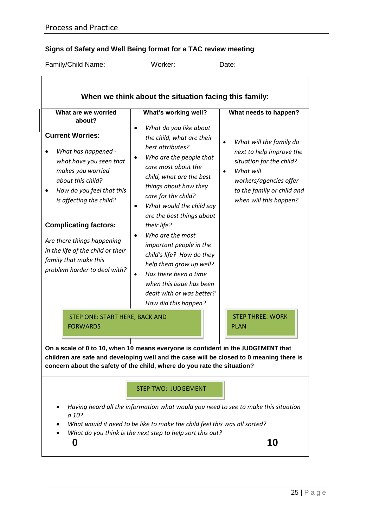# **Signs of Safety and Well Being format for a TAC review meeting**

| Family/Child Name:                                                                                                                                                                                                                                                                                                                                                       | Worker:                                                                                                                                                                                                                                                                                                                                                                                                                                                                                                                             | Date:                                                                                                                                                                                                                |  |
|--------------------------------------------------------------------------------------------------------------------------------------------------------------------------------------------------------------------------------------------------------------------------------------------------------------------------------------------------------------------------|-------------------------------------------------------------------------------------------------------------------------------------------------------------------------------------------------------------------------------------------------------------------------------------------------------------------------------------------------------------------------------------------------------------------------------------------------------------------------------------------------------------------------------------|----------------------------------------------------------------------------------------------------------------------------------------------------------------------------------------------------------------------|--|
|                                                                                                                                                                                                                                                                                                                                                                          | When we think about the situation facing this family:                                                                                                                                                                                                                                                                                                                                                                                                                                                                               |                                                                                                                                                                                                                      |  |
| What are we worried<br>about?<br><b>Current Worries:</b><br>What has happened -<br>what have you seen that<br>makes you worried<br>about this child?<br>How do you feel that this<br>is affecting the child?<br><b>Complicating factors:</b><br>Are there things happening<br>in the life of the child or their<br>family that make this<br>problem harder to deal with? | What's working well?<br>What do you like about<br>the child, what are their<br>best attributes?<br>Who are the people that<br>care most about the<br>child, what are the best<br>things about how they<br>care for the child?<br>What would the child say<br>are the best things about<br>their life?<br>Who are the most<br>important people in the<br>child's life? How do they<br>help them grow up well?<br>Has there been a time<br>$\bullet$<br>when this issue has been<br>dealt with or was better?<br>How did this happen? | What needs to happen?<br>What will the family do<br>$\bullet$<br>next to help improve the<br>situation for the child?<br>What will<br>workers/agencies offer<br>to the family or child and<br>when will this happen? |  |
| STEP ONE: START HERE, BACK AND<br><b>FORWARDS</b>                                                                                                                                                                                                                                                                                                                        |                                                                                                                                                                                                                                                                                                                                                                                                                                                                                                                                     | <b>STEP THREE: WORK</b><br><b>PLAN</b>                                                                                                                                                                               |  |
|                                                                                                                                                                                                                                                                                                                                                                          | On a scale of 0 to 10, when 10 means everyone is confident in the JUDGEMENT that<br>children are safe and developing well and the case will be closed to 0 meaning there is<br>concern about the safety of the child, where do you rate the situation?                                                                                                                                                                                                                                                                              |                                                                                                                                                                                                                      |  |
|                                                                                                                                                                                                                                                                                                                                                                          | <b>STEP TWO: JUDGEMENT</b>                                                                                                                                                                                                                                                                                                                                                                                                                                                                                                          |                                                                                                                                                                                                                      |  |
| a 10?                                                                                                                                                                                                                                                                                                                                                                    | Having heard all the information what would you need to see to make this situation<br>What would it need to be like to make the child feel this was all sorted?<br>What do you think is the next step to help sort this out?                                                                                                                                                                                                                                                                                                        |                                                                                                                                                                                                                      |  |
| 0                                                                                                                                                                                                                                                                                                                                                                        |                                                                                                                                                                                                                                                                                                                                                                                                                                                                                                                                     | 10                                                                                                                                                                                                                   |  |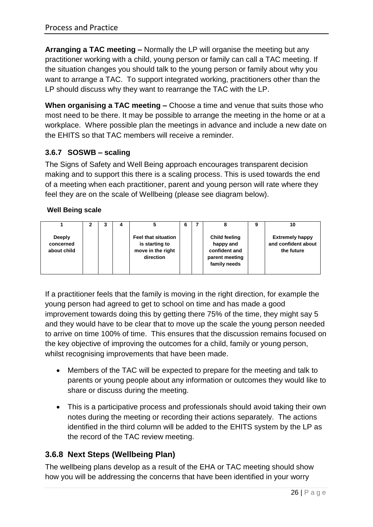**Arranging a TAC meeting –** Normally the LP will organise the meeting but any practitioner working with a child, young person or family can call a TAC meeting. If the situation changes you should talk to the young person or family about why you want to arrange a TAC. To support integrated working, practitioners other than the LP should discuss why they want to rearrange the TAC with the LP.

**When organising a TAC meeting –** Choose a time and venue that suits those who most need to be there. It may be possible to arrange the meeting in the home or at a workplace. Where possible plan the meetings in advance and include a new date on the EHITS so that TAC members will receive a reminder.

## <span id="page-25-0"></span>**3.6.7 SOSWB – scaling**

The Signs of Safety and Well Being approach encourages transparent decision making and to support this there is a scaling process. This is used towards the end of a meeting when each practitioner, parent and young person will rate where they feel they are on the scale of Wellbeing (please see diagram below).

#### **Well Being scale**

|                                           |  |                                                                                | 6 |                                                                                      | 9 | 10                                                          |
|-------------------------------------------|--|--------------------------------------------------------------------------------|---|--------------------------------------------------------------------------------------|---|-------------------------------------------------------------|
| <b>Deeply</b><br>concerned<br>about child |  | <b>Feel that situation</b><br>is starting to<br>move in the right<br>direction |   | <b>Child feeling</b><br>happy and<br>confident and<br>parent meeting<br>family needs |   | <b>Extremely happy</b><br>and confident about<br>the future |

If a practitioner feels that the family is moving in the right direction, for example the young person had agreed to get to school on time and has made a good improvement towards doing this by getting there 75% of the time, they might say 5 and they would have to be clear that to move up the scale the young person needed to arrive on time 100% of time. This ensures that the discussion remains focused on the key objective of improving the outcomes for a child, family or young person, whilst recognising improvements that have been made.

- Members of the TAC will be expected to prepare for the meeting and talk to parents or young people about any information or outcomes they would like to share or discuss during the meeting.
- This is a participative process and professionals should avoid taking their own notes during the meeting or recording their actions separately. The actions identified in the third column will be added to the EHITS system by the LP as the record of the TAC review meeting.

## <span id="page-25-1"></span>**3.6.8 Next Steps (Wellbeing Plan)**

The wellbeing plans develop as a result of the EHA or TAC meeting should show how you will be addressing the concerns that have been identified in your worry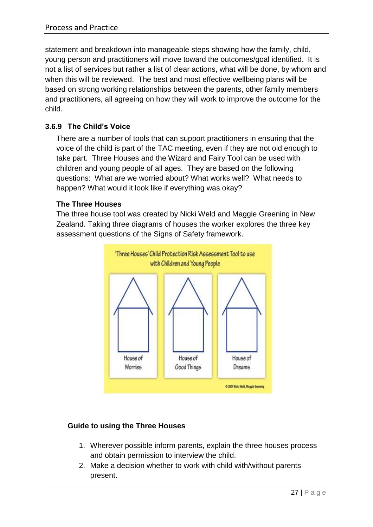statement and breakdown into manageable steps showing how the family, child, young person and practitioners will move toward the outcomes/goal identified. It is not a list of services but rather a list of clear actions, what will be done, by whom and when this will be reviewed. The best and most effective wellbeing plans will be based on strong working relationships between the parents, other family members and practitioners, all agreeing on how they will work to improve the outcome for the child.

## <span id="page-26-0"></span>**3.6.9 The Child's Voice**

There are a number of tools that can support practitioners in ensuring that the voice of the child is part of the TAC meeting, even if they are not old enough to take part. Three Houses and the Wizard and Fairy Tool can be used with children and young people of all ages. They are based on the following questions: What are we worried about? What works well? What needs to happen? What would it look like if everything was okay?

## **The Three Houses**

The three house tool was created by Nicki Weld and Maggie Greening in New Zealand. Taking three diagrams of houses the worker explores the three key assessment questions of the Signs of Safety framework.



## **Guide to using the Three Houses**

- 1. Wherever possible inform parents, explain the three houses process and obtain permission to interview the child.
- 2. Make a decision whether to work with child with/without parents present.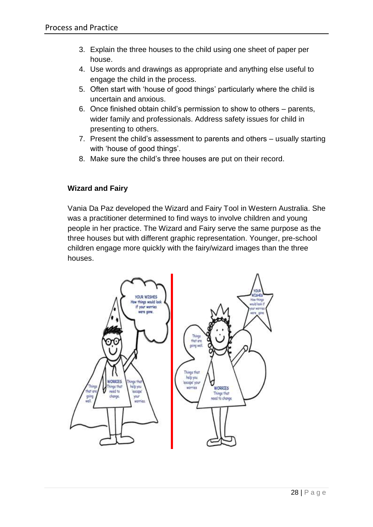- 3. Explain the three houses to the child using one sheet of paper per house.
- 4. Use words and drawings as appropriate and anything else useful to engage the child in the process.
- 5. Often start with 'house of good things' particularly where the child is uncertain and anxious.
- 6. Once finished obtain child's permission to show to others parents, wider family and professionals. Address safety issues for child in presenting to others.
- 7. Present the child's assessment to parents and others usually starting with 'house of good things'.
- 8. Make sure the child's three houses are put on their record.

## **Wizard and Fairy**

Vania Da Paz developed the Wizard and Fairy Tool in Western Australia. She was a practitioner determined to find ways to involve children and young people in her practice. The Wizard and Fairy serve the same purpose as the three houses but with different graphic representation. Younger, pre-school children engage more quickly with the fairy/wizard images than the three houses.

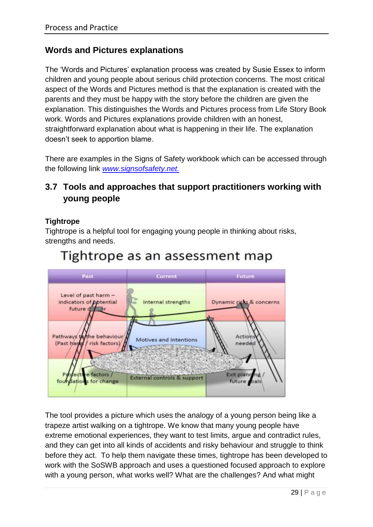## **Words and Pictures explanations**

The 'Words and Pictures' explanation process was created by Susie Essex to inform children and young people about serious child protection concerns. The most critical aspect of the Words and Pictures method is that the explanation is created with the parents and they must be happy with the story before the children are given the explanation. This distinguishes the Words and Pictures process from Life Story Book work. Words and Pictures explanations provide children with an honest, straightforward explanation about what is happening in their life. The explanation doesn't seek to apportion blame.

There are examples in the Signs of Safety workbook which can be accessed through the following link *[www.signsofsafety.net.](http://www.signsofsafety.net/)*

# <span id="page-28-0"></span>**3.7 Tools and approaches that support practitioners working with young people**

#### **Tightrope**

Tightrope is a helpful tool for engaging young people in thinking about risks, strengths and needs.



# Tightrope as an assessment map

The tool provides a picture which uses the analogy of a young person being like a trapeze artist walking on a tightrope. We know that many young people have extreme emotional experiences, they want to test limits, argue and contradict rules, and they can get into all kinds of accidents and risky behaviour and struggle to think before they act. To help them navigate these times, tightrope has been developed to work with the SoSWB approach and uses a questioned focused approach to explore with a young person, what works well? What are the challenges? And what might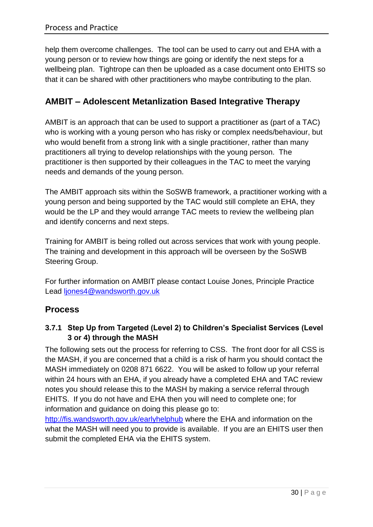help them overcome challenges. The tool can be used to carry out and EHA with a young person or to review how things are going or identify the next steps for a wellbeing plan. Tightrope can then be uploaded as a case document onto EHITS so that it can be shared with other practitioners who maybe contributing to the plan.

# **AMBIT – Adolescent Metanlization Based Integrative Therapy**

AMBIT is an approach that can be used to support a practitioner as (part of a TAC) who is working with a young person who has risky or complex needs/behaviour, but who would benefit from a strong link with a single practitioner, rather than many practitioners all trying to develop relationships with the young person. The practitioner is then supported by their colleagues in the TAC to meet the varying needs and demands of the young person.

The AMBIT approach sits within the SoSWB framework, a practitioner working with a young person and being supported by the TAC would still complete an EHA, they would be the LP and they would arrange TAC meets to review the wellbeing plan and identify concerns and next steps.

Training for AMBIT is being rolled out across services that work with young people. The training and development in this approach will be overseen by the SoSWB Steering Group.

For further information on AMBIT please contact Louise Jones, Principle Practice Lead [ljones4@wandsworth.gov.uk](mailto:ljones4@wandsworth.gov.uk)

## <span id="page-29-0"></span>**Process**

## <span id="page-29-1"></span>**3.7.1 Step Up from Targeted (Level 2) to Children's Specialist Services (Level 3 or 4) through the MASH**

The following sets out the process for referring to CSS. The front door for all CSS is the MASH, if you are concerned that a child is a risk of harm you should contact the MASH immediately on 0208 871 6622. You will be asked to follow up your referral within 24 hours with an EHA, if you already have a completed EHA and TAC review notes you should release this to the MASH by making a service referral through EHITS. If you do not have and EHA then you will need to complete one; for information and guidance on doing this please go to:

<http://fis.wandsworth.gov.uk/earlyhelphub> where the EHA and information on the what the MASH will need you to provide is available. If you are an EHITS user then submit the completed EHA via the EHITS system.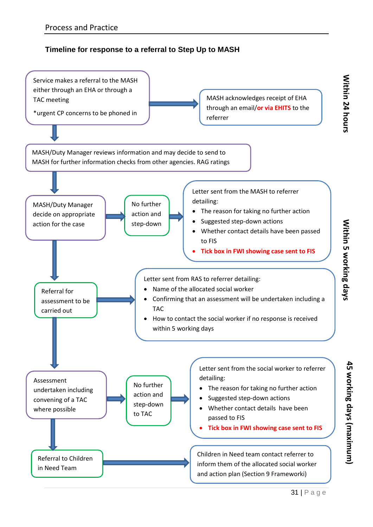## **Timeline for response to a referral to Step Up to MASH**



**45 working days (maximum)**

45 working days (maximum)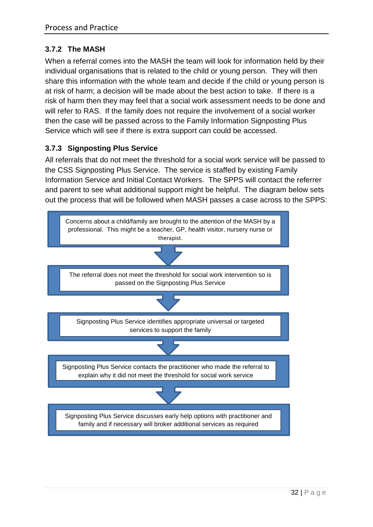## <span id="page-31-0"></span>**3.7.2 The MASH**

When a referral comes into the MASH the team will look for information held by their individual organisations that is related to the child or young person. They will then share this information with the whole team and decide if the child or young person is at risk of harm; a decision will be made about the best action to take. If there is a risk of harm then they may feel that a social work assessment needs to be done and will refer to RAS. If the family does not require the involvement of a social worker then the case will be passed across to the Family Information Signposting Plus Service which will see if there is extra support can could be accessed.

#### <span id="page-31-1"></span>**3.7.3 Signposting Plus Service**

All referrals that do not meet the threshold for a social work service will be passed to the CSS Signposting Plus Service. The service is staffed by existing Family Information Service and Initial Contact Workers. The SPPS will contact the referrer and parent to see what additional support might be helpful. The diagram below sets out the process that will be followed when MASH passes a case across to the SPPS:

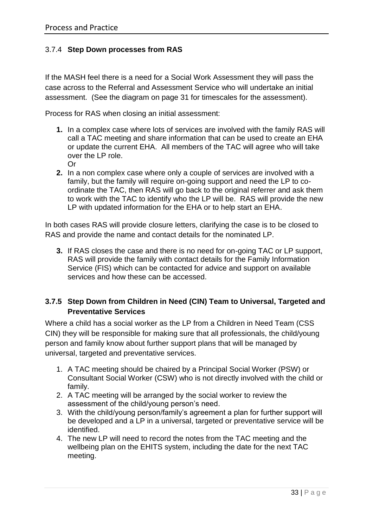## <span id="page-32-0"></span>3.7.4 **Step Down processes from RAS**

If the MASH feel there is a need for a Social Work Assessment they will pass the case across to the Referral and Assessment Service who will undertake an initial assessment. (See the diagram on page 31 for timescales for the assessment).

Process for RAS when closing an initial assessment:

- **1.** In a complex case where lots of services are involved with the family RAS will call a TAC meeting and share information that can be used to create an EHA or update the current EHA. All members of the TAC will agree who will take over the LP role.
	- Or
- **2.** In a non complex case where only a couple of services are involved with a family, but the family will require on-going support and need the LP to coordinate the TAC, then RAS will go back to the original referrer and ask them to work with the TAC to identify who the LP will be. RAS will provide the new LP with updated information for the EHA or to help start an EHA.

In both cases RAS will provide closure letters, clarifying the case is to be closed to RAS and provide the name and contact details for the nominated LP.

**3.** If RAS closes the case and there is no need for on-going TAC or LP support, RAS will provide the family with contact details for the Family Information Service (FIS) which can be contacted for advice and support on available services and how these can be accessed.

## <span id="page-32-1"></span>**3.7.5 Step Down from Children in Need (CIN) Team to Universal, Targeted and Preventative Services**

Where a child has a social worker as the LP from a Children in Need Team (CSS CIN) they will be responsible for making sure that all professionals, the child/young person and family know about further support plans that will be managed by universal, targeted and preventative services.

- 1. A TAC meeting should be chaired by a Principal Social Worker (PSW) or Consultant Social Worker (CSW) who is not directly involved with the child or family.
- 2. A TAC meeting will be arranged by the social worker to review the assessment of the child/young person's need.
- 3. With the child/young person/family's agreement a plan for further support will be developed and a LP in a universal, targeted or preventative service will be identified
- 4. The new LP will need to record the notes from the TAC meeting and the wellbeing plan on the EHITS system, including the date for the next TAC meeting.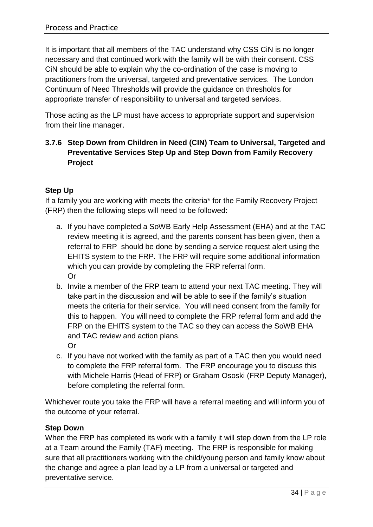It is important that all members of the TAC understand why CSS CiN is no longer necessary and that continued work with the family will be with their consent. CSS CiN should be able to explain why the co-ordination of the case is moving to practitioners from the universal, targeted and preventative services. The London Continuum of Need Thresholds will provide the guidance on thresholds for appropriate transfer of responsibility to universal and targeted services.

Those acting as the LP must have access to appropriate support and supervision from their line manager.

## <span id="page-33-0"></span>**3.7.6 Step Down from Children in Need (CIN) Team to Universal, Targeted and Preventative Services Step Up and Step Down from Family Recovery Project**

## **Step Up**

If a family you are working with meets the criteria\* for the Family Recovery Project (FRP) then the following steps will need to be followed:

- a. If you have completed a SoWB Early Help Assessment (EHA) and at the TAC review meeting it is agreed, and the parents consent has been given, then a referral to FRP should be done by sending a service request alert using the EHITS system to the FRP. The FRP will require some additional information which you can provide by completing the FRP referral form. Or
- b. Invite a member of the FRP team to attend your next TAC meeting. They will take part in the discussion and will be able to see if the family's situation meets the criteria for their service. You will need consent from the family for this to happen. You will need to complete the FRP referral form and add the FRP on the EHITS system to the TAC so they can access the SoWB EHA and TAC review and action plans. Or
- c. If you have not worked with the family as part of a TAC then you would need to complete the FRP referral form. The FRP encourage you to discuss this with Michele Harris (Head of FRP) or Graham Ososki (FRP Deputy Manager), before completing the referral form.

Whichever route you take the FRP will have a referral meeting and will inform you of the outcome of your referral.

## **Step Down**

When the FRP has completed its work with a family it will step down from the LP role at a Team around the Family (TAF) meeting. The FRP is responsible for making sure that all practitioners working with the child/young person and family know about the change and agree a plan lead by a LP from a universal or targeted and preventative service.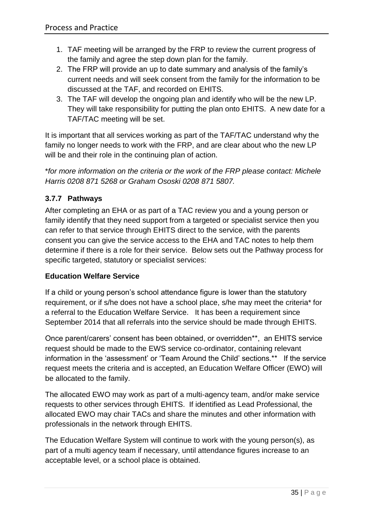- 1. TAF meeting will be arranged by the FRP to review the current progress of the family and agree the step down plan for the family.
- 2. The FRP will provide an up to date summary and analysis of the family's current needs and will seek consent from the family for the information to be discussed at the TAF, and recorded on EHITS.
- 3. The TAF will develop the ongoing plan and identify who will be the new LP. They will take responsibility for putting the plan onto EHITS. A new date for a TAF/TAC meeting will be set.

It is important that all services working as part of the TAF/TAC understand why the family no longer needs to work with the FRP, and are clear about who the new LP will be and their role in the continuing plan of action.

\**for more information on the criteria or the work of the FRP please contact: Michele Harris 0208 871 5268 or Graham Ososki 0208 871 5807.*

## <span id="page-34-0"></span>**3.7.7 Pathways**

After completing an EHA or as part of a TAC review you and a young person or family identify that they need support from a targeted or specialist service then you can refer to that service through EHITS direct to the service, with the parents consent you can give the service access to the EHA and TAC notes to help them determine if there is a role for their service. Below sets out the Pathway process for specific targeted, statutory or specialist services:

#### **Education Welfare Service**

If a child or young person's school attendance figure is lower than the statutory requirement, or if s/he does not have a school place, s/he may meet the criteria\* for a referral to the Education Welfare Service. It has been a requirement since September 2014 that all referrals into the service should be made through EHITS.

Once parent/carers' consent has been obtained, or overridden\*\*, an EHITS service request should be made to the EWS service co-ordinator, containing relevant information in the 'assessment' or 'Team Around the Child' sections.\*\* If the service request meets the criteria and is accepted, an Education Welfare Officer (EWO) will be allocated to the family.

The allocated EWO may work as part of a multi-agency team, and/or make service requests to other services through EHITS. If identified as Lead Professional, the allocated EWO may chair TACs and share the minutes and other information with professionals in the network through EHITS.

The Education Welfare System will continue to work with the young person(s), as part of a multi agency team if necessary, until attendance figures increase to an acceptable level, or a school place is obtained.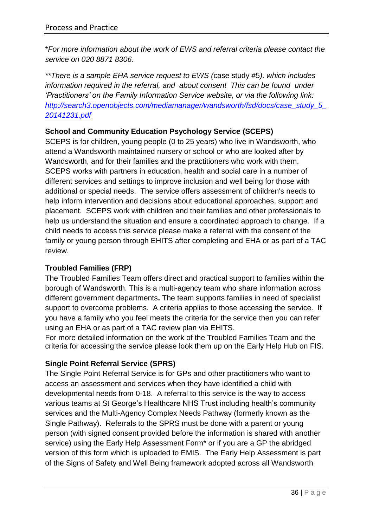\**For more information about the work of EWS and referral criteria please contact the service on 020 8871 8306.*

*\*\*There is a sample EHA service request to EWS (*case study #5*), which includes information required in the referral, and about consent This can be found under 'Practitioners' on the Family Information Service website, or via the following link: [http://search3.openobjects.com/mediamanager/wandsworth/fsd/docs/case\\_study\\_5\\_](http://search3.openobjects.com/mediamanager/wandsworth/fsd/docs/case_study_5_20141231.pdf) [20141231.pdf](http://search3.openobjects.com/mediamanager/wandsworth/fsd/docs/case_study_5_20141231.pdf)*

## **School and Community Education Psychology Service (SCEPS)**

SCEPS is for children, young people (0 to 25 years) who live in Wandsworth, who attend a Wandsworth maintained nursery or school or who are looked after by Wandsworth, and for their families and the practitioners who work with them. SCEPS works with partners in education, health and social care in a number of different services and settings to improve inclusion and well being for those with additional or special needs. The service offers assessment of children's needs to help inform intervention and decisions about educational approaches, support and placement. SCEPS work with children and their families and other professionals to help us understand the situation and ensure a coordinated approach to change. If a child needs to access this service please make a referral with the consent of the family or young person through EHITS after completing and EHA or as part of a TAC review.

## **Troubled Families (FRP)**

The Troubled Families Team offers direct and practical support to families within the borough of Wandsworth. This is a multi-agency team who share information across different government departments**.** The team supports families in need of specialist support to overcome problems. A criteria applies to those accessing the service. If you have a family who you feel meets the criteria for the service then you can refer using an EHA or as part of a TAC review plan via EHITS.

For more detailed information on the work of the Troubled Families Team and the criteria for accessing the service please look them up on the Early Help Hub on FIS.

## **Single Point Referral Service (SPRS)**

The Single Point Referral Service is for GPs and other practitioners who want to access an assessment and services when they have identified a child with developmental needs from 0-18. A referral to this service is the way to access various teams at St George's Healthcare NHS Trust including health's community services and the Multi-Agency Complex Needs Pathway (formerly known as the Single Pathway). Referrals to the SPRS must be done with a parent or young person (with signed consent provided before the information is shared with another service) using the Early Help Assessment Form\* or if you are a GP the abridged version of this form which is uploaded to EMIS. The Early Help Assessment is part of the Signs of Safety and Well Being framework adopted across all Wandsworth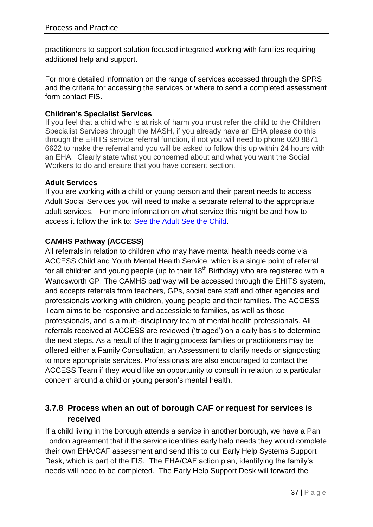practitioners to support solution focused integrated working with families requiring additional help and support.

For more detailed information on the range of services accessed through the SPRS and the criteria for accessing the services or where to send a completed assessment form contact FIS.

#### **Children's Specialist Services**

If you feel that a child who is at risk of harm you must refer the child to the Children Specialist Services through the MASH, if you already have an EHA please do this through the EHITS service referral function, if not you will need to phone 020 8871 6622 to make the referral and you will be asked to follow this up within 24 hours with an EHA. Clearly state what you concerned about and what you want the Social Workers to do and ensure that you have consent section.

#### **Adult Services**

If you are working with a child or young person and their parent needs to access Adult Social Services you will need to make a separate referral to the appropriate adult services. For more information on what service this might be and how to access it follow the link to: [See the Adult See the Child.](http://www.wandsworth.gov.uk/wscb/download/59/see_the_adult_see_the_child)

#### **CAMHS Pathway (ACCESS)**

All referrals in relation to children who may have mental health needs come via ACCESS Child and Youth Mental Health Service, which is a single point of referral for all children and young people (up to their  $18<sup>th</sup>$  Birthday) who are registered with a Wandsworth GP. The CAMHS pathway will be accessed through the EHITS system, and accepts referrals from teachers, GPs, social care staff and other agencies and professionals working with children, young people and their families. The ACCESS Team aims to be responsive and accessible to families, as well as those professionals, and is a multi-disciplinary team of mental health professionals. All referrals received at ACCESS are reviewed ('triaged') on a daily basis to determine the next steps. As a result of the triaging process families or practitioners may be offered either a Family Consultation, an Assessment to clarify needs or signposting to more appropriate services. Professionals are also encouraged to contact the ACCESS Team if they would like an opportunity to consult in relation to a particular concern around a child or young person's mental health.

## <span id="page-36-0"></span>**3.7.8 Process when an out of borough CAF or request for services is received**

If a child living in the borough attends a service in another borough, we have a Pan London agreement that if the service identifies early help needs they would complete their own EHA/CAF assessment and send this to our Early Help Systems Support Desk, which is part of the FIS. The EHA/CAF action plan, identifying the family's needs will need to be completed. The Early Help Support Desk will forward the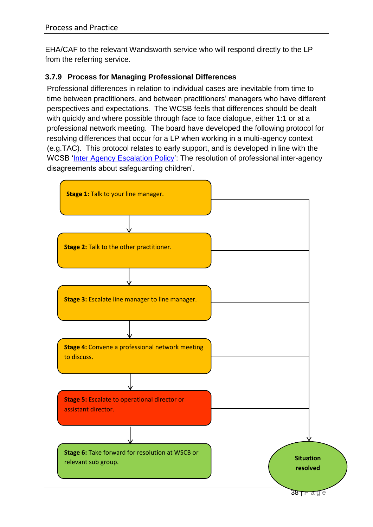EHA/CAF to the relevant Wandsworth service who will respond directly to the LP from the referring service.

## <span id="page-37-0"></span>**3.7.9 Process for Managing Professional Differences**

Professional differences in relation to individual cases are inevitable from time to time between practitioners, and between practitioners' managers who have different perspectives and expectations. The WCSB feels that differences should be dealt with quickly and where possible through face to face dialogue, either 1:1 or at a professional network meeting. The board have developed the following protocol for resolving differences that occur for a LP when working in a multi-agency context (e.g.TAC). This protocol relates to early support, and is developed in line with the WCSB ['Inter Agency Escalation Policy'](http://www.wandsworth.gov.uk/wscb/download/54/inter_agency_escalation_policy): The resolution of professional inter-agency disagreements about safeguarding children'.

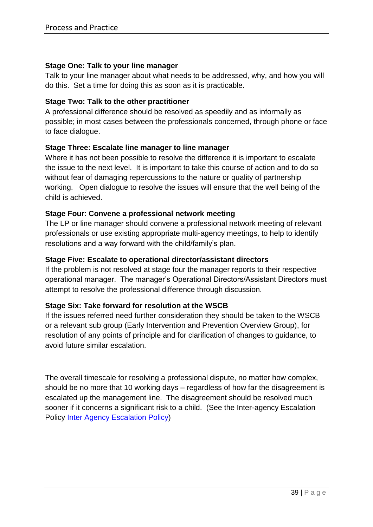#### **Stage One: Talk to your line manager**

Talk to your line manager about what needs to be addressed, why, and how you will do this. Set a time for doing this as soon as it is practicable.

#### **Stage Two: Talk to the other practitioner**

A professional difference should be resolved as speedily and as informally as possible; in most cases between the professionals concerned, through phone or face to face dialogue.

#### **Stage Three: Escalate line manager to line manager**

Where it has not been possible to resolve the difference it is important to escalate the issue to the next level. It is important to take this course of action and to do so without fear of damaging repercussions to the nature or quality of partnership working. Open dialogue to resolve the issues will ensure that the well being of the child is achieved.

#### **Stage Four**: **Convene a professional network meeting**

The LP or line manager should convene a professional network meeting of relevant professionals or use existing appropriate multi-agency meetings, to help to identify resolutions and a way forward with the child/family's plan.

#### **Stage Five: Escalate to operational director/assistant directors**

If the problem is not resolved at stage four the manager reports to their respective operational manager. The manager's Operational Directors/Assistant Directors must attempt to resolve the professional difference through discussion.

#### **Stage Six: Take forward for resolution at the WSCB**

If the issues referred need further consideration they should be taken to the WSCB or a relevant sub group (Early Intervention and Prevention Overview Group), for resolution of any points of principle and for clarification of changes to guidance, to avoid future similar escalation.

The overall timescale for resolving a professional dispute, no matter how complex, should be no more that 10 working days – regardless of how far the disagreement is escalated up the management line. The disagreement should be resolved much sooner if it concerns a significant risk to a child. (See the Inter-agency Escalation Policy [Inter Agency Escalation Policy\)](http://www.wandsworth.gov.uk/wscb/download/54/inter_agency_escalation_policy)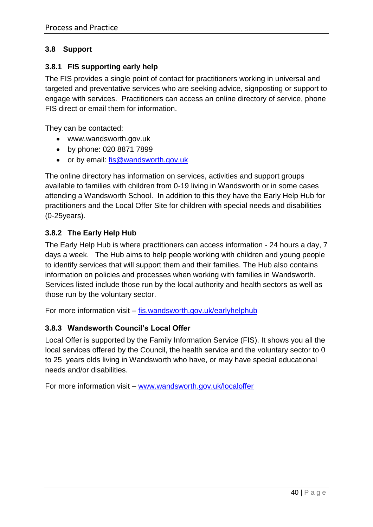## <span id="page-39-0"></span>**3.8 Support**

#### <span id="page-39-1"></span>**3.8.1 FIS supporting early help**

The FIS provides a single point of contact for practitioners working in universal and targeted and preventative services who are seeking advice, signposting or support to engage with services. Practitioners can access an online directory of service, phone FIS direct or email them for information.

They can be contacted:

- www.wandsworth.gov.uk
- by phone: 020 8871 7899
- or by email: fis@wandsworth.gov.uk

The online directory has information on services, activities and support groups available to families with children from 0-19 living in Wandsworth or in some cases attending a Wandsworth School. In addition to this they have the Early Help Hub for practitioners and the Local Offer Site for children with special needs and disabilities (0-25years).

## <span id="page-39-2"></span>**3.8.2 The Early Help Hub**

The Early Help Hub is where practitioners can access information - 24 hours a day, 7 days a week. The Hub aims to help people working with children and young people to identify services that will support them and their families. The Hub also contains information on policies and processes when working with families in Wandsworth. Services listed include those run by the local authority and health sectors as well as those run by the voluntary sector.

For more information visit – [fis.wandsworth.gov.uk/earlyhelphub](http://fis.wandsworth.gov.uk/earlyhelphub)

#### <span id="page-39-3"></span>**3.8.3 Wandsworth Council's Local Offer**

Local Offer is supported by the Family Information Service (FIS). It shows you all the local services offered by the Council, the health service and the voluntary sector to 0 to 25 years olds living in Wandsworth who have, or may have special educational needs and/or disabilities.

For more information visit – [www.wandsworth.gov.uk/localoffer](http://www.wandsworth.gov.uk/localoffer)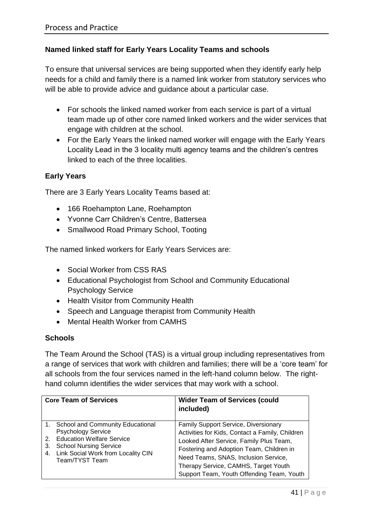#### **Named linked staff for Early Years Locality Teams and schools**

To ensure that universal services are being supported when they identify early help needs for a child and family there is a named link worker from statutory services who will be able to provide advice and guidance about a particular case.

- For schools the linked named worker from each service is part of a virtual team made up of other core named linked workers and the wider services that engage with children at the school.
- For the Early Years the linked named worker will engage with the Early Years Locality Lead in the 3 locality multi agency teams and the children's centres linked to each of the three localities.

#### **Early Years**

There are 3 Early Years Locality Teams based at:

- 166 Roehampton Lane, Roehampton
- Yvonne Carr Children's Centre, Battersea
- Smallwood Road Primary School, Tooting

The named linked workers for Early Years Services are:

- Social Worker from CSS RAS
- Educational Psychologist from School and Community Educational Psychology Service
- Health Visitor from Community Health
- Speech and Language therapist from Community Health
- Mental Health Worker from CAMHS

#### **Schools**

The Team Around the School (TAS) is a virtual group including representatives from a range of services that work with children and families; there will be a 'core team' for all schools from the four services named in the left-hand column below. The righthand column identifies the wider services that may work with a school.

|          | <b>Core Team of Services</b>                                                                                                                                                              | <b>Wider Team of Services (could</b><br>included)                                                                                                                                                                                                                                                           |
|----------|-------------------------------------------------------------------------------------------------------------------------------------------------------------------------------------------|-------------------------------------------------------------------------------------------------------------------------------------------------------------------------------------------------------------------------------------------------------------------------------------------------------------|
| 3.<br>4. | 1. School and Community Educational<br><b>Psychology Service</b><br>2. Education Welfare Service<br><b>School Nursing Service</b><br>Link Social Work from Locality CIN<br>Team/TYST Team | Family Support Service, Diversionary<br>Activities for Kids, Contact a Family, Children<br>Looked After Service, Family Plus Team,<br>Fostering and Adoption Team, Children in<br>Need Teams, SNAS, Inclusion Service,<br>Therapy Service, CAMHS, Target Youth<br>Support Team, Youth Offending Team, Youth |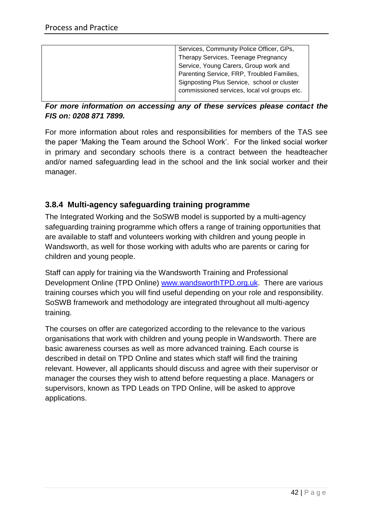| Services, Community Police Officer, GPs,     |
|----------------------------------------------|
| Therapy Services, Teenage Pregnancy          |
| Service, Young Carers, Group work and        |
| Parenting Service, FRP, Troubled Families,   |
| Signposting Plus Service, school or cluster  |
| commissioned services, local vol groups etc. |
|                                              |

## *For more information on accessing any of these services please contact the FIS on: 0208 871 7899.*

For more information about roles and responsibilities for members of the TAS see the paper 'Making the Team around the School Work'. For the linked social worker in primary and secondary schools there is a contract between the headteacher and/or named safeguarding lead in the school and the link social worker and their manager.

## <span id="page-41-0"></span>**3.8.4 Multi-agency safeguarding training programme**

The Integrated Working and the SoSWB model is supported by a multi-agency safeguarding training programme which offers a range of training opportunities that are available to staff and volunteers working with children and young people in Wandsworth, as well for those working with adults who are parents or caring for children and young people.

Staff can apply for training via the Wandsworth Training and Professional Development Online (TPD Online) [www.wandsworthTPD.org.uk.](http://www.wandsworthtpd.org.uk/) There are various training courses which you will find useful depending on your role and responsibility. SoSWB framework and methodology are integrated throughout all multi-agency training.

The courses on offer are categorized according to the relevance to the various organisations that work with children and young people in Wandsworth. There are basic awareness courses as well as more advanced training. Each course is described in detail on TPD Online and states which staff will find the training relevant. However, all applicants should discuss and agree with their supervisor or manager the courses they wish to attend before requesting a place. Managers or supervisors, known as TPD Leads on TPD Online, will be asked to approve applications.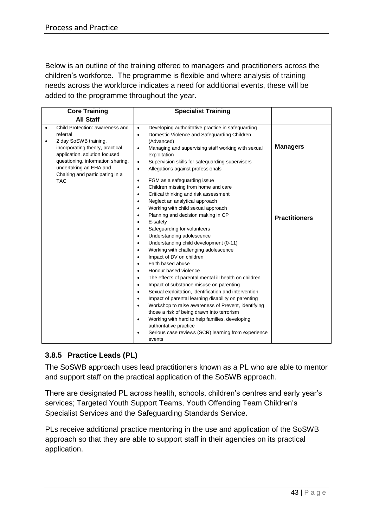Below is an outline of the training offered to managers and practitioners across the children's workforce. The programme is flexible and where analysis of training needs across the workforce indicates a need for additional events, these will be added to the programme throughout the year.

| <b>Core Training</b>                                                                                                                                                                                                                                                 | <b>Specialist Training</b>                                                                                                                                                                                                                                                                                                                                                                                                                                                                                                                                                                                                                                                                                                                                                                                                                                                                                                                                                                                                                                                                                                                                                                                          |                      |
|----------------------------------------------------------------------------------------------------------------------------------------------------------------------------------------------------------------------------------------------------------------------|---------------------------------------------------------------------------------------------------------------------------------------------------------------------------------------------------------------------------------------------------------------------------------------------------------------------------------------------------------------------------------------------------------------------------------------------------------------------------------------------------------------------------------------------------------------------------------------------------------------------------------------------------------------------------------------------------------------------------------------------------------------------------------------------------------------------------------------------------------------------------------------------------------------------------------------------------------------------------------------------------------------------------------------------------------------------------------------------------------------------------------------------------------------------------------------------------------------------|----------------------|
| <b>All Staff</b>                                                                                                                                                                                                                                                     |                                                                                                                                                                                                                                                                                                                                                                                                                                                                                                                                                                                                                                                                                                                                                                                                                                                                                                                                                                                                                                                                                                                                                                                                                     |                      |
| Child Protection: awareness and<br>$\bullet$<br>referral<br>2 day SoSWB training,<br>$\bullet$<br>incorporating theory, practical<br>application, solution focused<br>questioning, information sharing,<br>undertaking an EHA and<br>Chairing and participating in a | Developing authoritative practice in safeguarding<br>$\bullet$<br>Domestic Violence and Safeguarding Children<br>$\bullet$<br>(Advanced)<br>Managing and supervising staff working with sexual<br>$\bullet$<br>exploitation<br>Supervision skills for safeguarding supervisors<br>$\bullet$<br>Allegations against professionals<br>$\bullet$                                                                                                                                                                                                                                                                                                                                                                                                                                                                                                                                                                                                                                                                                                                                                                                                                                                                       | <b>Managers</b>      |
| <b>TAC</b>                                                                                                                                                                                                                                                           | FGM as a safeguarding issue<br>$\bullet$<br>Children missing from home and care<br>$\bullet$<br>Critical thinking and risk assessment<br>$\bullet$<br>Neglect an analytical approach<br>$\bullet$<br>Working with child sexual approach<br>$\bullet$<br>Planning and decision making in CP<br>$\bullet$<br>E-safety<br>$\bullet$<br>Safeguarding for volunteers<br>$\bullet$<br>Understanding adolescence<br>$\bullet$<br>Understanding child development (0-11)<br>$\bullet$<br>Working with challenging adolescence<br>$\bullet$<br>Impact of DV on children<br>$\bullet$<br>Faith based abuse<br>$\bullet$<br>Honour based violence<br>$\bullet$<br>The effects of parental mental ill health on children<br>$\bullet$<br>Impact of substance misuse on parenting<br>$\bullet$<br>Sexual exploitation, identification and intervention<br>$\bullet$<br>Impact of parental learning disability on parenting<br>$\bullet$<br>Workshop to raise awareness of Prevent, identifying<br>$\bullet$<br>those a risk of being drawn into terrorism<br>Working with hard to help families, developing<br>$\bullet$<br>authoritative practice<br>Serious case reviews (SCR) learning from experience<br>$\bullet$<br>events | <b>Practitioners</b> |

## <span id="page-42-0"></span>**3.8.5 Practice Leads (PL)**

The SoSWB approach uses lead practitioners known as a PL who are able to mentor and support staff on the practical application of the SoSWB approach.

There are designated PL across health, schools, children's centres and early year's services; Targeted Youth Support Teams, Youth Offending Team Children's Specialist Services and the Safeguarding Standards Service.

PLs receive additional practice mentoring in the use and application of the SoSWB approach so that they are able to support staff in their agencies on its practical application.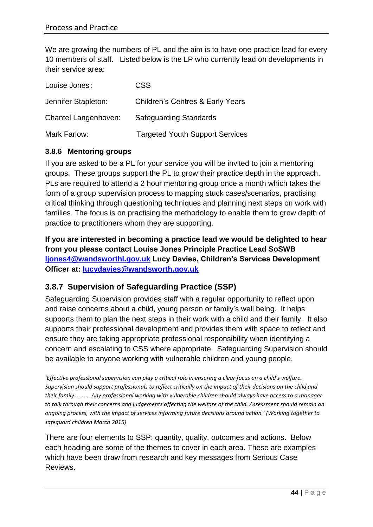We are growing the numbers of PL and the aim is to have one practice lead for every 10 members of staff. Listed below is the LP who currently lead on developments in their service area:

| Louise Jones:        | <b>CSS</b>                                  |
|----------------------|---------------------------------------------|
| Jennifer Stapleton:  | <b>Children's Centres &amp; Early Years</b> |
| Chantel Langenhoven: | <b>Safeguarding Standards</b>               |
| Mark Farlow:         | <b>Targeted Youth Support Services</b>      |

#### <span id="page-43-0"></span>**3.8.6 Mentoring groups**

If you are asked to be a PL for your service you will be invited to join a mentoring groups. These groups support the PL to grow their practice depth in the approach. PLs are required to attend a 2 hour mentoring group once a month which takes the form of a group supervision process to mapping stuck cases/scenarios, practising critical thinking through questioning techniques and planning next steps on work with families. The focus is on practising the methodology to enable them to grow depth of practice to practitioners whom they are supporting.

**If you are interested in becoming a practice lead we would be delighted to hear from you please contact Louise Jones Principle Practice Lead SoSWB [ljones4@wandsworthl.gov.uk](mailto:ljones4@wandsworthl.gov.uk) Lucy Davies, Children's Services Development Officer at: [lucydavies@wandsworth.gov.uk](mailto:lucydavies@wandsworth.gov.uk)**

## <span id="page-43-1"></span>**3.8.7 Supervision of Safeguarding Practice (SSP)**

Safeguarding Supervision provides staff with a regular opportunity to reflect upon and raise concerns about a child, young person or family's well being. It helps supports them to plan the next steps in their work with a child and their family. It also supports their professional development and provides them with space to reflect and ensure they are taking appropriate professional responsibility when identifying a concern and escalating to CSS where appropriate. Safeguarding Supervision should be available to anyone working with vulnerable children and young people.

*'Effective professional supervision can play a critical role in ensuring a clear focus on a child's welfare. Supervision should support professionals to reflect critically on the impact of their decisions on the child and their family………. Any professional working with vulnerable children should always have access to a manager*  to talk through their concerns and judgements affecting the welfare of the child. Assessment should remain an *ongoing process, with the impact of services informing future decisions around action.' (Working together to safeguard children March 2015)*

There are four elements to SSP: quantity, quality, outcomes and actions. Below each heading are some of the themes to cover in each area. These are examples which have been draw from research and key messages from Serious Case Reviews.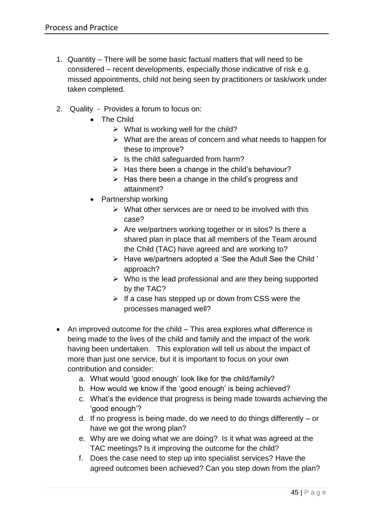- 1. Quantity There will be some basic factual matters that will need to be considered – recent developments, especially those indicative of risk e.g. missed appointments, child not being seen by practitioners or task/work under taken completed.
- 2. Quality Provides a forum to focus on:
	- The Child
		- $\triangleright$  What is working well for the child?
		- $\triangleright$  What are the areas of concern and what needs to happen for these to improve?
		- $\triangleright$  Is the child safeguarded from harm?
		- $\triangleright$  Has there been a change in the child's behaviour?
		- $\triangleright$  Has there been a change in the child's progress and attainment?
	- Partnership working
		- $\triangleright$  What other services are or need to be involved with this case?
		- $\triangleright$  Are we/partners working together or in silos? Is there a shared plan in place that all members of the Team around the Child (TAC) have agreed and are working to?
		- Have we/partners adopted a 'See the Adult See the Child ' approach?
		- $\triangleright$  Who is the lead professional and are they being supported by the TAC?
		- $\triangleright$  If a case has stepped up or down from CSS were the processes managed well?
- An improved outcome for the child This area explores what difference is being made to the lives of the child and family and the impact of the work having been undertaken. This exploration will tell us about the impact of more than just one service, but it is important to focus on your own contribution and consider:
	- a. What would 'good enough' look like for the child/family?
	- b. How would we know if the 'good enough' is being achieved?
	- c. What's the evidence that progress is being made towards achieving the 'good enough'?
	- d. If no progress is being made, do we need to do things differently or have we got the wrong plan?
	- e. Why are we doing what we are doing? Is it what was agreed at the TAC meetings? Is it improving the outcome for the child?
	- f. Does the case need to step up into specialist services? Have the agreed outcomes been achieved? Can you step down from the plan?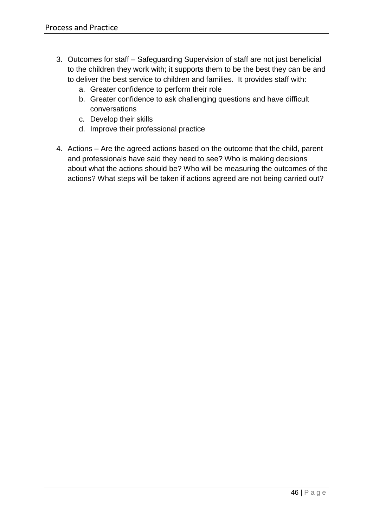- 3. Outcomes for staff Safeguarding Supervision of staff are not just beneficial to the children they work with; it supports them to be the best they can be and to deliver the best service to children and families. It provides staff with:
	- a. Greater confidence to perform their role
	- b. Greater confidence to ask challenging questions and have difficult conversations
	- c. Develop their skills
	- d. Improve their professional practice
- 4. Actions Are the agreed actions based on the outcome that the child, parent and professionals have said they need to see? Who is making decisions about what the actions should be? Who will be measuring the outcomes of the actions? What steps will be taken if actions agreed are not being carried out?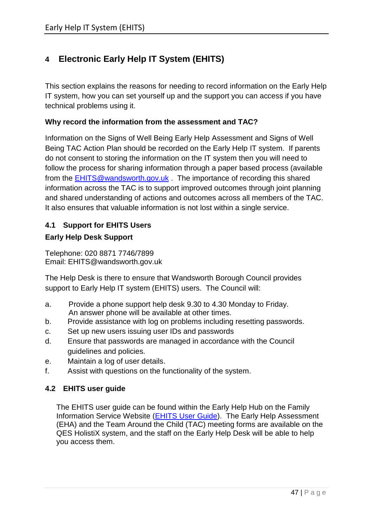# <span id="page-46-0"></span>**4 Electronic Early Help IT System (EHITS)**

This section explains the reasons for needing to record information on the Early Help IT system, how you can set yourself up and the support you can access if you have technical problems using it.

#### **Why record the information from the assessment and TAC?**

Information on the Signs of Well Being Early Help Assessment and Signs of Well Being TAC Action Plan should be recorded on the Early Help IT system. If parents do not consent to storing the information on the IT system then you will need to follow the process for sharing information through a paper based process (available from the [EHITS@wandsworth.gov.uk](mailto:EHITS@wandsworth.gov.uk) . The importance of recording this shared information across the TAC is to support improved outcomes through joint planning and shared understanding of actions and outcomes across all members of the TAC. It also ensures that valuable information is not lost within a single service.

## <span id="page-46-1"></span>**4.1 Support for EHITS Users**

#### **Early Help Desk Support**

Telephone: 020 8871 7746/7899 Email: EHITS@wandsworth.gov.uk

The Help Desk is there to ensure that Wandsworth Borough Council provides support to Early Help IT system (EHITS) users. The Council will:

- a. Provide a phone support help desk 9.30 to 4.30 Monday to Friday. An answer phone will be available at other times.
- b. Provide assistance with log on problems including resetting passwords.
- c. Set up new users issuing user IDs and passwords
- d. Ensure that passwords are managed in accordance with the Council guidelines and policies.
- e. Maintain a log of user details.
- f. Assist with questions on the functionality of the system.

#### <span id="page-46-2"></span>**4.2 EHITS user guide**

The EHITS user guide can be found within the Early Help Hub on the Family Information Service Website [\(EHITS User Guide\)](http://fis.wandsworth.gov.uk/kb5/wandsworth/fsd/advice.page?id=CGYgZExeD9Q&familychannel=5600). The Early Help Assessment (EHA) and the Team Around the Child (TAC) meeting forms are available on the QES HolistiX system, and the staff on the Early Help Desk will be able to help you access them.